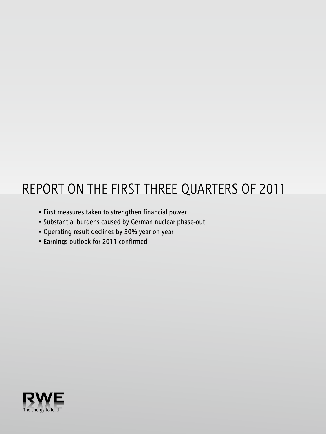# REPORT ON THE FIRST three Quarters OF 2011

- • First measures taken to strengthen financial power
- • Substantial burdens caused by German nuclear phase-out
- • Operating result declines by 30% year on year
- • Earnings outlook for 2011 confirmed

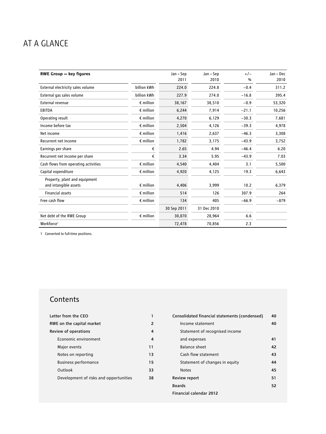# AT A GLANCE

| <b>RWE Group - key figures</b>       |                    | Jan - Sep   | Jan – Sep   | $+/-$   | Jan - Dec |
|--------------------------------------|--------------------|-------------|-------------|---------|-----------|
|                                      |                    | 2011        | 2010        | $\%$    | 2010      |
| External electricity sales volume    | billion kWh        | 224.0       | 224.8       | $-0.4$  | 311.2     |
| External gas sales volume            | billion kWh        | 227.9       | 274.0       | $-16.8$ | 395.4     |
| <b>External revenue</b>              | $\epsilon$ million | 38,167      | 38,510      | $-0.9$  | 53,320    |
| <b>EBITDA</b>                        | $\epsilon$ million | 6,244       | 7,914       | $-21.1$ | 10,256    |
| Operating result                     | $\epsilon$ million | 4,270       | 6,129       | $-30.3$ | 7,681     |
| Income before tax                    | $\epsilon$ million | 2,504       | 4,126       | $-39.3$ | 4,978     |
| Net income                           | $\epsilon$ million | 1,416       | 2,637       | $-46.3$ | 3,308     |
| Recurrent net income                 | $\epsilon$ million | 1,782       | 3,175       | $-43.9$ | 3,752     |
| Earnings per share                   | €                  | 2.65        | 4.94        | $-46.4$ | 6.20      |
| Recurrent net income per share       | €                  | 3.34        | 5.95        | $-43.9$ | 7.03      |
| Cash flows from operating activities | $\epsilon$ million | 4,540       | 4,404       | 3.1     | 5,500     |
| Capital expenditure                  | $\epsilon$ million | 4,920       | 4,125       | 19.3    | 6,643     |
| Property, plant and equipment        |                    |             |             |         |           |
| and intangible assets                | $\epsilon$ million | 4,406       | 3,999       | 10.2    | 6,379     |
| <b>Financial assets</b>              | $\epsilon$ million | 514         | 126         | 307.9   | 264       |
| Free cash flow                       | $\epsilon$ million | 134         | 405         | $-66.9$ | $-879$    |
|                                      |                    | 30 Sep 2011 | 31 Dec 2010 |         |           |
| Net debt of the RWE Group            | $\epsilon$ million | 30,870      | 28,964      | 6.6     |           |
| Workforce <sup>1</sup>               |                    | 72,478      | 70,856      | 2.3     |           |

1 Converted to full-time positions.

# **Contents**

| Letter from the CEO                    |               |
|----------------------------------------|---------------|
| RWE on the capital market              | $\mathcal{P}$ |
| <b>Review of operations</b>            | 4             |
| Economic environment                   | 4             |
| Major events                           | 11            |
| Notes on reporting                     | 13            |
| <b>Business performance</b>            | 15            |
| Outlook                                | 33            |
| Development of risks and opportunities | 38            |
|                                        |               |

| Consolidated financial statements (condensed) | 40 |
|-----------------------------------------------|----|
| Income statement                              | 40 |
| Statement of recognised income                |    |
| and expenses                                  | 41 |
| Balance sheet                                 | 42 |
| Cash flow statement                           | 43 |
| Statement of changes in equity                | 44 |
| <b>Notes</b>                                  | 45 |
| Review report                                 | 51 |
| <b>Boards</b>                                 | 52 |
| Financial calendar 2012                       |    |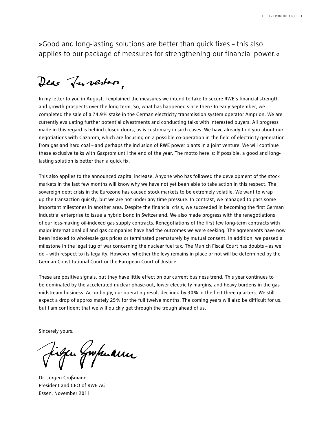»Good and long-lasting solutions are better than quick fixes – this also applies to our package of measures for strengthening our financial power.«

Dear Tuberton,

In my letter to you in August, I explained the measures we intend to take to secure RWE's financial strength and growth prospects over the long term. So, what has happened since then? In early September, we completed the sale of a 74.9 % stake in the German electricity transmission system operator Amprion. We are currently evaluating further potential divestments and conducting talks with interested buyers. All progress made in this regard is behind closed doors, as is customary in such cases. We have already told you about our negotiations with Gazprom, which are focusing on a possible co-operation in the field of electricity generation from gas and hard coal – and perhaps the inclusion of RWE power plants in a joint venture. We will continue these exclusive talks with Gazprom until the end of the year. The motto here is: if possible, a good and longlasting solution is better than a quick fix.

This also applies to the announced capital increase. Anyone who has followed the development of the stock markets in the last few months will know why we have not yet been able to take action in this respect. The sovereign debt crisis in the Eurozone has caused stock markets to be extremely volatile. We want to wrap up the transaction quickly, but we are not under any time pressure. In contrast, we managed to pass some important milestones in another area. Despite the financial crisis, we succeeded in becoming the first German industrial enterprise to issue a hybrid bond in Switzerland. We also made progress with the renegotiations of our loss-making oil-indexed gas supply contracts. Renegotiations of the first few long-term contracts with major international oil and gas companies have had the outcomes we were seeking. The agreements have now been indexed to wholesale gas prices or terminated prematurely by mutual consent. In addition, we passed a milestone in the legal tug of war concerning the nuclear fuel tax. The Munich Fiscal Court has doubts – as we do – with respect to its legality. However, whether the levy remains in place or not will be determined by the German Constitutional Court or the European Court of Justice.

These are positive signals, but they have little effect on our current business trend. This year continues to be dominated by the accelerated nuclear phase-out, lower electricity margins, and heavy burdens in the gas midstream business. Accordingly, our operating result declined by 30 % in the first three quarters. We still expect a drop of approximately 25 % for the full twelve months. The coming years will also be difficult for us, but I am confident that we will quickly get through the trough ahead of us.

Sincerely yours,

iga Gupuanu

Dr. Jürgen Großmann President and CEO of RWE AG Essen, November 2011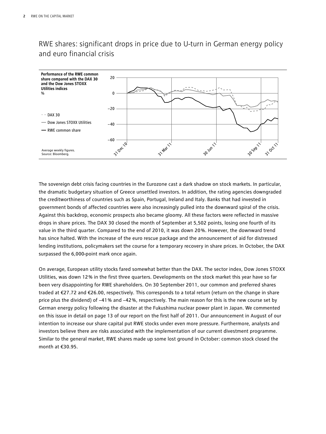# RWE shares: significant drops in price due to U-turn in German energy policy and euro financial crisis



The sovereign debt crisis facing countries in the Eurozone cast a dark shadow on stock markets. In particular, the dramatic budgetary situation of Greece unsettled investors. In addition, the rating agencies downgraded the creditworthiness of countries such as Spain, Portugal, Ireland and Italy. Banks that had invested in government bonds of affected countries were also increasingly pulled into the downward spiral of the crisis. Against this backdrop, economic prospects also became gloomy. All these factors were reflected in massive drops in share prices. The DAX 30 closed the month of September at 5,502 points, losing one fourth of its value in the third quarter. Compared to the end of 2010, it was down 20 %. However, the downward trend has since halted. With the increase of the euro rescue package and the announcement of aid for distressed lending institutions, policymakers set the course for a temporary recovery in share prices. In October, the DAX surpassed the 6,000-point mark once again.

On average, European utility stocks fared somewhat better than the DAX. The sector index, Dow Jones STOXX Utilities, was down 12 % in the first three quarters. Developments on the stock market this year have so far been very disappointing for RWE shareholders. On 30 September 2011, our common and preferred shares traded at €27.72 and €26.00, respectively. This corresponds to a total return (return on the change in share price plus the dividend) of −41 % and −42 %, respectively. The main reason for this is the new course set by German energy policy following the disaster at the Fukushima nuclear power plant in Japan. We commented on this issue in detail on page 13 of our report on the first half of 2011. Our announcement in August of our intention to increase our share capital put RWE stocks under even more pressure. Furthermore, analysts and investors believe there are risks associated with the implementation of our current divestment programme. Similar to the general market, RWE shares made up some lost ground in October: common stock closed the month at €30.95.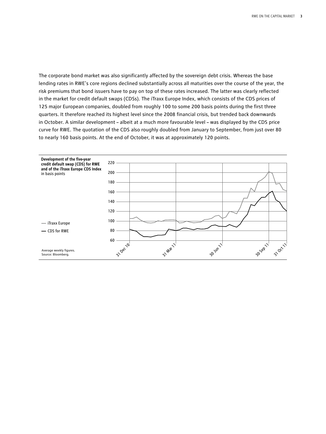The corporate bond market was also significantly affected by the sovereign debt crisis. Whereas the base lending rates in RWE's core regions declined substantially across all maturities over the course of the year, the risk premiums that bond issuers have to pay on top of these rates increased. The latter was clearly reflected in the market for credit default swaps (CDSs). The iTraxx Europe Index, which consists of the CDS prices of 125 major European companies, doubled from roughly 100 to some 200 basis points during the first three quarters. It therefore reached its highest level since the 2008 financial crisis, but trended back downwards in October. A similar development – albeit at a much more favourable level – was displayed by the CDS price curve for RWE. The quotation of the CDS also roughly doubled from January to September, from just over 80 to nearly 160 basis points. At the end of October, it was at approximately 120 points.

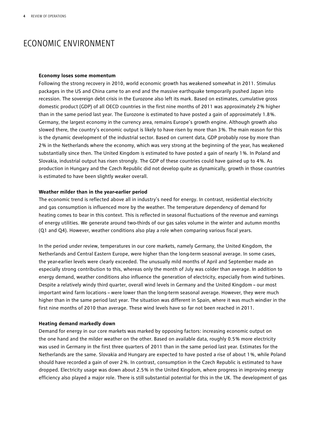# ECONOMIC ENVIRONMENT

#### **Economy loses some momentum**

Following the strong recovery in 2010, world economic growth has weakened somewhat in 2011. Stimulus packages in the US and China came to an end and the massive earthquake temporarily pushed Japan into recession. The sovereign debt crisis in the Eurozone also left its mark. Based on estimates, cumulative gross domestic product (GDP) of all OECD countries in the first nine months of 2011 was approximately 2 % higher than in the same period last year. The Eurozone is estimated to have posted a gain of approximately 1.8 %. Germany, the largest economy in the currency area, remains Europe's growth engine. Although growth also slowed there, the country's economic output is likely to have risen by more than 3 %. The main reason for this is the dynamic development of the industrial sector. Based on current data, GDP probably rose by more than 2 % in the Netherlands where the economy, which was very strong at the beginning of the year, has weakened substantially since then. The United Kingdom is estimated to have posted a gain of nearly 1 %. In Poland and Slovakia, industrial output has risen strongly. The GDP of these countries could have gained up to 4 %. As production in Hungary and the Czech Republic did not develop quite as dynamically, growth in those countries is estimated to have been slightly weaker overall.

#### **Weather milder than in the year-earlier period**

The economic trend is reflected above all in industry's need for energy. In contrast, residential electricity and gas consumption is influenced more by the weather. The temperature dependency of demand for heating comes to bear in this context. This is reflected in seasonal fluctuations of the revenue and earnings of energy utilities. We generate around two-thirds of our gas sales volume in the winter and autumn months (Q1 and Q4). However, weather conditions also play a role when comparing various fiscal years.

In the period under review, temperatures in our core markets, namely Germany, the United Kingdom, the Netherlands and Central Eastern Europe, were higher than the long-term seasonal average. In some cases, the year-earlier levels were clearly exceeded. The unusually mild months of April and September made an especially strong contribution to this, whereas only the month of July was colder than average. In addition to energy demand, weather conditions also influence the generation of electricity, especially from wind turbines. Despite a relatively windy third quarter, overall wind levels in Germany and the United Kingdom – our most important wind farm locations – were lower than the long-term seasonal average. However, they were much higher than in the same period last year. The situation was different in Spain, where it was much windier in the first nine months of 2010 than average. These wind levels have so far not been reached in 2011.

#### **Heating demand markedly down**

Demand for energy in our core markets was marked by opposing factors: increasing economic output on the one hand and the milder weather on the other. Based on available data, roughly 0.5 % more electricity was used in Germany in the first three quarters of 2011 than in the same period last year. Estimates for the Netherlands are the same. Slovakia and Hungary are expected to have posted a rise of about 1 %, while Poland should have recorded a gain of over 2 %. In contrast, consumption in the Czech Republic is estimated to have dropped. Electricity usage was down about 2.5 % in the United Kingdom, where progress in improving energy efficiency also played a major role. There is still substantial potential for this in the UK. The development of gas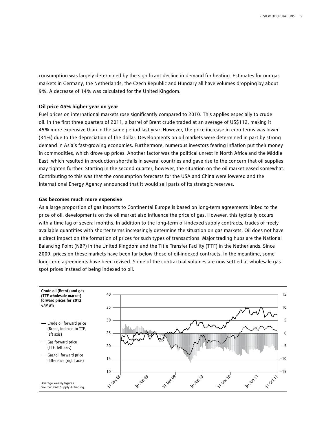consumption was largely determined by the significant decline in demand for heating. Estimates for our gas markets in Germany, the Netherlands, the Czech Republic and Hungary all have volumes dropping by about 9 %. A decrease of 14 % was calculated for the United Kingdom.

#### **Oil price 45% higher year on year**

Fuel prices on international markets rose significantly compared to 2010. This applies especially to crude oil. In the first three quarters of 2011, a barrel of Brent crude traded at an average of US\$112, making it 45 % more expensive than in the same period last year. However, the price increase in euro terms was lower (34 %) due to the depreciation of the dollar. Developments on oil markets were determined in part by strong demand in Asia's fast-growing economies. Furthermore, numerous investors fearing inflation put their money in commodities, which drove up prices. Another factor was the political unrest in North Africa and the Middle East, which resulted in production shortfalls in several countries and gave rise to the concern that oil supplies may tighten further. Starting in the second quarter, however, the situation on the oil market eased somewhat. Contributing to this was that the consumption forecasts for the USA and China were lowered and the International Energy Agency announced that it would sell parts of its strategic reserves.

#### **Gas becomes much more expensive**

As a large proportion of gas imports to Continental Europe is based on long-term agreements linked to the price of oil, developments on the oil market also influence the price of gas. However, this typically occurs with a time lag of several months. In addition to the long-term oil-indexed supply contracts, trades of freely available quantities with shorter terms increasingly determine the situation on gas markets. Oil does not have a direct impact on the formation of prices for such types of transactions. Major trading hubs are the National Balancing Point (NBP) in the United Kingdom and the Title Transfer Facility (TTF) in the Netherlands. Since 2009, prices on these markets have been far below those of oil-indexed contracts. In the meantime, some long-term agreements have been revised. Some of the contractual volumes are now settled at wholesale gas spot prices instead of being indexed to oil.

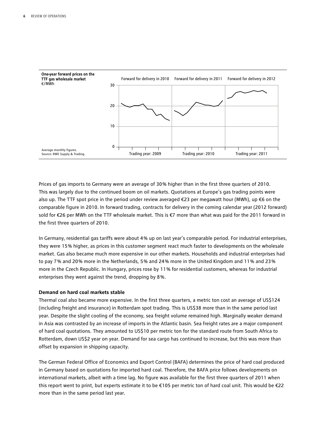

Prices of gas imports to Germany were an average of 30 % higher than in the first three quarters of 2010. This was largely due to the continued boom on oil markets. Quotations at Europe's gas trading points were also up. The TTF spot price in the period under review averaged €23 per megawatt hour (MWh), up €6 on the comparable figure in 2010. In forward trading, contracts for delivery in the coming calendar year (2012 forward) sold for €26 per MWh on the TTF wholesale market. This is €7 more than what was paid for the 2011 forward in the first three quarters of 2010.

In Germany, residential gas tariffs were about 4 % up on last year's comparable period. For industrial enterprises, they were 15 % higher, as prices in this customer segment react much faster to developments on the wholesale market. Gas also became much more expensive in our other markets. Households and industrial enterprises had to pay 7 % and 20 % more in the Netherlands, 5 % and 24 % more in the United Kingdom and 11 % and 23 % more in the Czech Republic. In Hungary, prices rose by 11 % for residential customers, whereas for industrial enterprises they went against the trend, dropping by 8 %.

#### **Demand on hard coal markets stable**

Thermal coal also became more expensive. In the first three quarters, a metric ton cost an average of US\$124 (including freight and insurance) in Rotterdam spot trading. This is US\$38 more than in the same period last year. Despite the slight cooling of the economy, sea freight volume remained high. Marginally weaker demand in Asia was contrasted by an increase of imports in the Atlantic basin. Sea freight rates are a major component of hard coal quotations. They amounted to US\$10 per metric ton for the standard route from South Africa to Rotterdam, down US\$2 year on year. Demand for sea cargo has continued to increase, but this was more than offset by expansion in shipping capacity.

The German Federal Office of Economics and Export Control (BAFA) determines the price of hard coal produced in Germany based on quotations for imported hard coal. Therefore, the BAFA price follows developments on international markets, albeit with a time lag. No figure was available for the first three quarters of 2011 when this report went to print, but experts estimate it to be €105 per metric ton of hard coal unit. This would be €22 more than in the same period last year.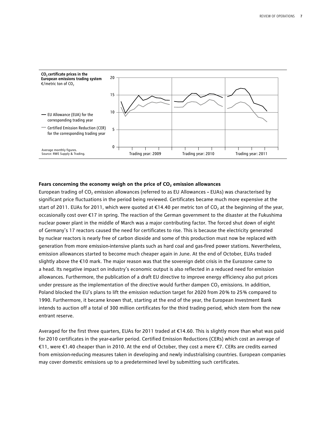

#### Fears concerning the economy weigh on the price of CO<sub>2</sub> emission allowances

European trading of CO<sub>2</sub> emission allowances (referred to as EU Allowances – EUAs) was characterised by significant price fluctuations in the period being reviewed. Certificates became much more expensive at the start of 2011. EUAs for 2011, which were quoted at  $\epsilon$ 14.40 per metric ton of CO<sub>2</sub> at the beginning of the year, occasionally cost over €17 in spring. The reaction of the German government to the disaster at the Fukushima nuclear power plant in the middle of March was a major contributing factor. The forced shut down of eight of Germany's 17 reactors caused the need for certificates to rise. This is because the electricity generated by nuclear reactors is nearly free of carbon dioxide and some of this production must now be replaced with generation from more emission-intensive plants such as hard coal and gas-fired power stations. Nevertheless, emission allowances started to become much cheaper again in June. At the end of October, EUAs traded slightly above the €10 mark. The major reason was that the sovereign debt crisis in the Eurozone came to a head. Its negative impact on industry's economic output is also reflected in a reduced need for emission allowances. Furthermore, the publication of a draft EU directive to improve energy efficiency also put prices under pressure as the implementation of the directive would further dampen CO<sub>2</sub> emissions. In addition, Poland blocked the EU's plans to lift the emission reduction target for 2020 from 20% to 25% compared to 1990. Furthermore, it became known that, starting at the end of the year, the European Investment Bank intends to auction off a total of 300 million certificates for the third trading period, which stem from the new entrant reserve.

Averaged for the first three quarters, EUAs for 2011 traded at €14.60. This is slightly more than what was paid for 2010 certificates in the year-earlier period. Certified Emission Reductions (CERs) which cost an average of €11, were €1.40 cheaper than in 2010. At the end of October, they cost a mere €7. CERs are credits earned from emission-reducing measures taken in developing and newly industrialising countries. European companies may cover domestic emissions up to a predetermined level by submitting such certificates.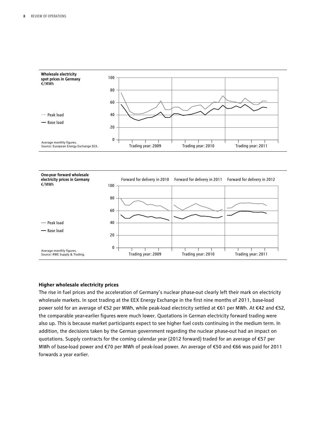

#### **Higher wholesale electricity prices**

The rise in fuel prices and the acceleration of Germany's nuclear phase-out clearly left their mark on electricity wholesale markets. In spot trading at the EEX Energy Exchange in the first nine months of 2011, base-load power sold for an average of €52 per MWh, while peak-load electricity settled at €61 per MWh. At €42 and €52, the comparable year-earlier figures were much lower. Quotations in German electricity forward trading were also up. This is because market participants expect to see higher fuel costs continuing in the medium term. In addition, the decisions taken by the German government regarding the nuclear phase-out had an impact on quotations. Supply contracts for the coming calendar year (2012 forward) traded for an average of €57 per MWh of base-load power and €70 per MWh of peak-load power. An average of €50 and €66 was paid for 2011 forwards a year earlier.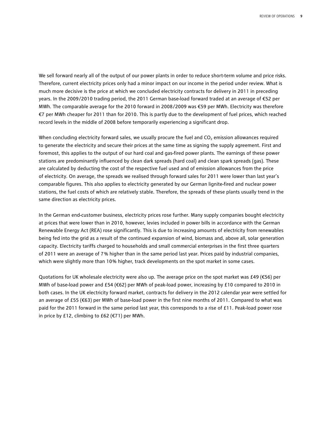We sell forward nearly all of the output of our power plants in order to reduce short-term volume and price risks. Therefore, current electricity prices only had a minor impact on our income in the period under review. What is much more decisive is the price at which we concluded electricity contracts for delivery in 2011 in preceding years. In the 2009/2010 trading period, the 2011 German base-load forward traded at an average of €52 per MWh. The comparable average for the 2010 forward in 2008/2009 was €59 per MWh. Electricity was therefore €7 per MWh cheaper for 2011 than for 2010. This is partly due to the development of fuel prices, which reached record levels in the middle of 2008 before temporarily experiencing a significant drop.

When concluding electricity forward sales, we usually procure the fuel and  $CO<sub>2</sub>$  emission allowances required to generate the electricity and secure their prices at the same time as signing the supply agreement. First and foremost, this applies to the output of our hard coal and gas-fired power plants. The earnings of these power stations are predominantly influenced by clean dark spreads (hard coal) and clean spark spreads (gas). These are calculated by deducting the cost of the respective fuel used and of emission allowances from the price of electricity. On average, the spreads we realised through forward sales for 2011 were lower than last year's comparable figures. This also applies to electricity generated by our German lignite-fired and nuclear power stations, the fuel costs of which are relatively stable. Therefore, the spreads of these plants usually trend in the same direction as electricity prices.

In the German end-customer business, electricity prices rose further. Many supply companies bought electricity at prices that were lower than in 2010, however, levies included in power bills in accordance with the German Renewable Energy Act (REA) rose significantly. This is due to increasing amounts of electricity from renewables being fed into the grid as a result of the continued expansion of wind, biomass and, above all, solar generation capacity. Electricity tariffs charged to households and small commercial enterprises in the first three quarters of 2011 were an average of 7 % higher than in the same period last year. Prices paid by industrial companies, which were slightly more than 10% higher, track developments on the spot market in some cases.

Quotations for UK wholesale electricity were also up. The average price on the spot market was £49 ( $\epsilon$ 56) per MWh of base-load power and £54 (€62) per MWh of peak-load power, increasing by £10 compared to 2010 in both cases. In the UK electricity forward market, contracts for delivery in the 2012 calendar year were settled for an average of £55 (€63) per MWh of base-load power in the first nine months of 2011. Compared to what was paid for the 2011 forward in the same period last year, this corresponds to a rise of £11. Peak-load power rose in price by £12, climbing to £62 (€71) per MWh.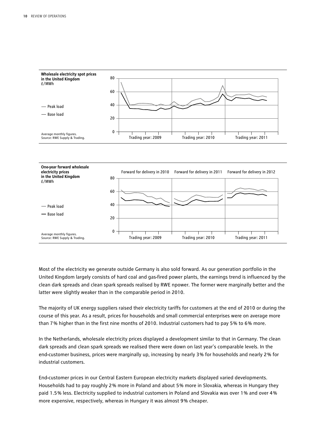

Most of the electricity we generate outside Germany is also sold forward. As our generation portfolio in the United Kingdom largely consists of hard coal and gas-fired power plants, the earnings trend is influenced by the clean dark spreads and clean spark spreads realised by RWE npower. The former were marginally better and the latter were slightly weaker than in the comparable period in 2010.

The majority of UK energy suppliers raised their electricity tariffs for customers at the end of 2010 or during the course of this year. As a result, prices for households and small commercial enterprises were on average more than 7 % higher than in the first nine months of 2010. Industrial customers had to pay 5 % to 6 % more.

In the Netherlands, wholesale electricity prices displayed a development similar to that in Germany. The clean dark spreads and clean spark spreads we realised there were down on last year's comparable levels. In the end-customer business, prices were marginally up, increasing by nearly 3 % for households and nearly 2 % for industrial customers.

End-customer prices in our Central Eastern European electricity markets displayed varied developments. Households had to pay roughly 2 % more in Poland and about 5 % more in Slovakia, whereas in Hungary they paid 1.5 % less. Electricity supplied to industrial customers in Poland and Slovakia was over 1 % and over 4 % more expensive, respectively, whereas in Hungary it was almost 9 % cheaper.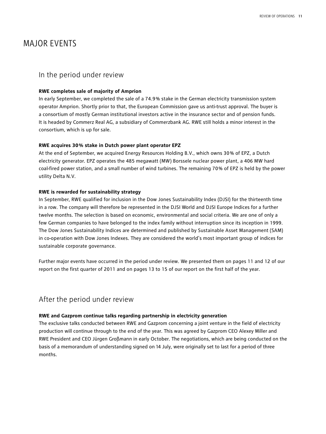# MAJOR EVENTS

## In the period under review

#### **RWE completes sale of majority of Amprion**

In early September, we completed the sale of a 74.9 % stake in the German electricity transmission system operator Amprion. Shortly prior to that, the European Commission gave us anti-trust approval. The buyer is a consortium of mostly German institutional investors active in the insurance sector and of pension funds. It is headed by Commerz Real AG, a subsidiary of Commerzbank AG. RWE still holds a minor interest in the consortium, which is up for sale.

#### **RWE acquires 30 % stake in Dutch power plant operator EPZ**

At the end of September, we acquired Energy Resources Holding B.V., which owns 30 % of EPZ, a Dutch electricity generator. EPZ operates the 485 megawatt (MW) Borssele nuclear power plant, a 406 MW hard coal-fired power station, and a small number of wind turbines. The remaining 70 % of EPZ is held by the power utility Delta N.V.

#### **RWE is rewarded for sustainability strategy**

In September, RWE qualified for inclusion in the Dow Jones Sustainability Index (DJSI) for the thirteenth time in a row. The company will therefore be represented in the DJSI World and DJSI Europe Indices for a further twelve months. The selection is based on economic, environmental and social criteria. We are one of only a few German companies to have belonged to the index family without interruption since its inception in 1999. The Dow Jones Sustainability Indices are determined and published by Sustainable Asset Management (SAM) in co-operation with Dow Jones Indexes. They are considered the world's most important group of indices for sustainable corporate governance.

Further major events have occurred in the period under review. We presented them on pages 11 and 12 of our report on the first quarter of 2011 and on pages 13 to 15 of our report on the first half of the year.

## After the period under review

#### **RWE and Gazprom continue talks regarding partnership in electricity generation**

The exclusive talks conducted between RWE and Gazprom concerning a joint venture in the field of electricity production will continue through to the end of the year. This was agreed by Gazprom CEO Alexey Miller and RWE President and CEO Jürgen Großmann in early October. The negotiations, which are being conducted on the basis of a memorandum of understanding signed on 14 July, were originally set to last for a period of three months.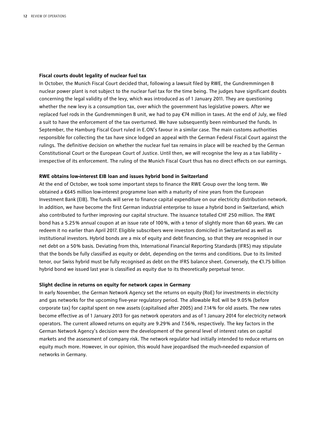#### **Fiscal courts doubt legality of nuclear fuel tax**

In October, the Munich Fiscal Court decided that, following a lawsuit filed by RWE, the Gundremmingen B nuclear power plant is not subject to the nuclear fuel tax for the time being. The judges have significant doubts concerning the legal validity of the levy, which was introduced as of 1 January 2011. They are questioning whether the new levy is a consumption tax, over which the government has legislative powers. After we replaced fuel rods in the Gundremmingen B unit, we had to pay €74 million in taxes. At the end of July, we filed a suit to have the enforcement of the tax overturned. We have subsequently been reimbursed the funds. In September, the Hamburg Fiscal Court ruled in E.ON's favour in a similar case. The main customs authorities responsible for collecting the tax have since lodged an appeal with the German Federal Fiscal Court against the rulings. The definitive decision on whether the nuclear fuel tax remains in place will be reached by the German Constitutional Court or the European Court of Justice. Until then, we will recognise the levy as a tax liability – irrespective of its enforcement. The ruling of the Munich Fiscal Court thus has no direct effects on our earnings.

#### **RWE obtains low-interest EIB loan and issues hybrid bond in Switzerland**

At the end of October, we took some important steps to finance the RWE Group over the long term. We obtained a €645 million low-interest programme loan with a maturity of nine years from the European Investment Bank (EIB). The funds will serve to finance capital expenditure on our electricity distribution network. In addition, we have become the first German industrial enterprise to issue a hybrid bond in Switzerland, which also contributed to further improving our capital structure. The issuance totalled CHF 250 million. The RWE bond has a 5.25 % annual coupon at an issue rate of 100 %, with a tenor of slightly more than 60 years. We can redeem it no earlier than April 2017. Eligible subscribers were investors domiciled in Switzerland as well as institutional investors. Hybrid bonds are a mix of equity and debt financing, so that they are recognised in our net debt on a 50 % basis. Deviating from this, International Financial Reporting Standards (IFRS) may stipulate that the bonds be fully classified as equity or debt, depending on the terms and conditions. Due to its limited tenor, our Swiss hybrid must be fully recognised as debt on the IFRS balance sheet. Conversely, the €1.75 billion hybrid bond we issued last year is classified as equity due to its theoretically perpetual tenor.

#### **Slight decline in returns on equity for network capex in Germany**

In early November, the German Network Agency set the returns on equity (RoE) for investments in electricity and gas networks for the upcoming five-year regulatory period. The allowable RoE will be 9.05 % (before corporate tax) for capital spent on new assets (capitalised after 2005) and 7.14 % for old assets. The new rates become effective as of 1 January 2013 for gas network operators and as of 1 January 2014 for electricity network operators. The current allowed returns on equity are 9.29 % and 7.56 %, respectively. The key factors in the German Network Agency's decision were the development of the general level of interest rates on capital markets and the assessment of company risk. The network regulator had initially intended to reduce returns on equity much more. However, in our opinion, this would have jeopardised the much-needed expansion of networks in Germany.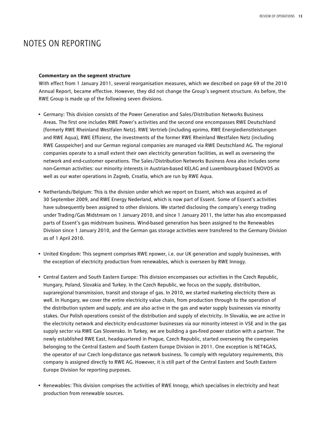# NOTES ON REPORTING

#### **Commentary on the segment structure**

With effect from 1 January 2011, several reorganisation measures, which we described on page 69 of the 2010 Annual Report, became effective. However, they did not change the Group's segment structure. As before, the RWE Group is made up of the following seven divisions.

- Germany: This division consists of the Power Generation and Sales/Distribution Networks Business Areas. The first one includes RWE Power's activities and the second one encompasses RWE Deutschland (formerly RWE Rheinland Westfalen Netz). RWE Vertrieb (including eprimo, RWE Energiedienstleistungen and RWE Aqua), RWE Effizienz, the investments of the former RWE Rheinland Westfalen Netz (including RWE Gasspeicher) and our German regional companies are managed via RWE Deutschland AG. The regional companies operate to a small extent their own electricity generation facilities, as well as overseeing the network and end-customer operations. The Sales/Distribution Networks Business Area also includes some non-German activities: our minority interests in Austrian-based KELAG and Luxembourg-based ENOVOS as well as our water operations in Zagreb, Croatia, which are run by RWE Aqua.
- Netherlands/Belgium: This is the division under which we report on Essent, which was acquired as of 30 September 2009, and RWE Energy Nederland, which is now part of Essent. Some of Essent's activities have subsequently been assigned to other divisions. We started disclosing the company's energy trading under Trading/Gas Midstream on 1 January 2010, and since 1 January 2011, the latter has also encompassed parts of Essent's gas midstream business. Wind-based generation has been assigned to the Renewables Division since 1 January 2010, and the German gas storage activities were transfered to the Germany Division as of 1 April 2010.
- United Kingdom: This segment comprises RWE npower, i.e. our UK generation and supply businesses, with the exception of electricity production from renewables, which is overseen by RWE Innogy.
- Central Eastern and South Eastern Europe: This division encompasses our activities in the Czech Republic, Hungary, Poland, Slovakia and Turkey. In the Czech Republic, we focus on the supply, distribution, supraregional transmission, transit and storage of gas. In 2010, we started marketing electricity there as well. In Hungary, we cover the entire electricity value chain, from production through to the operation of the distribution system and supply, and are also active in the gas and water supply businesses via minority stakes. Our Polish operations consist of the distribution and supply of electricity. In Slovakia, we are active in the electricity network and electricity end-customer businesses via our minority interest in VSE and in the gas supply sector via RWE Gas Slovensko. In Turkey, we are building a gas-fired power station with a partner. The newly established RWE East, headquartered in Prague, Czech Republic, started overseeing the companies belonging to the Central Eastern and South Eastern Europe Division in 2011. One exception is NET4GAS, the operator of our Czech long-distance gas network business. To comply with regulatory requirements, this company is assigned directly to RWE AG. However, it is still part of the Central Eastern and South Eastern Europe Division for reporting purposes.
- Renewables: This division comprises the activities of RWE Innogy, which specialises in electricity and heat production from renewable sources.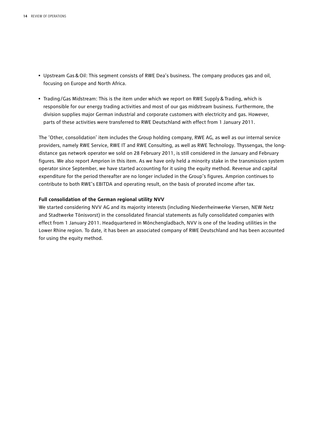- Upstream Gas&Oil: This segment consists of RWE Dea's business. The company produces gas and oil, focusing on Europe and North Africa.
- Trading/Gas Midstream: This is the item under which we report on RWE Supply & Trading, which is responsible for our energy trading activities and most of our gas midstream business. Furthermore, the division supplies major German industrial and corporate customers with electricity and gas. However, parts of these activities were transferred to RWE Deutschland with effect from 1 January 2011.

The 'Other, consolidation' item includes the Group holding company, RWE AG, as well as our internal service providers, namely RWE Service, RWE IT and RWE Consulting, as well as RWE Technology. Thyssengas, the longdistance gas network operator we sold on 28 February 2011, is still considered in the January and February figures. We also report Amprion in this item. As we have only held a minority stake in the transmission system operator since September, we have started accounting for it using the equity method. Revenue and capital expenditure for the period thereafter are no longer included in the Group's figures. Amprion continues to contribute to both RWE's EBITDA and operating result, on the basis of prorated income after tax.

#### **Full consolidation of the German regional utility NVV**

We started considering NVV AG and its majority interests (including Niederrheinwerke Viersen, NEW Netz and Stadtwerke Tönisvorst) in the consolidated financial statements as fully consolidated companies with effect from 1 January 2011. Headquartered in Mönchengladbach, NVV is one of the leading utilities in the Lower Rhine region. To date, it has been an associated company of RWE Deutschland and has been accounted for using the equity method.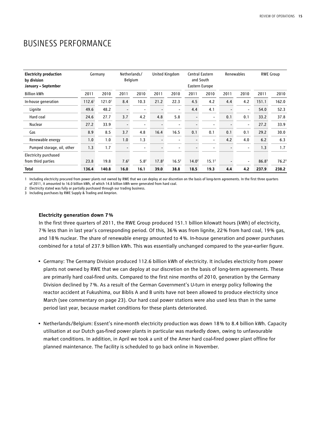# Business Performance

| <b>Electricity production</b><br>by division<br>January - September |                    | Germany            |                          | Netherlands/<br>Belgium  | United Kingdom    |                          | Central Eastern<br>Eastern Europe | and South                | Renewables |                          |                   | <b>RWE Group</b>  |
|---------------------------------------------------------------------|--------------------|--------------------|--------------------------|--------------------------|-------------------|--------------------------|-----------------------------------|--------------------------|------------|--------------------------|-------------------|-------------------|
| <b>Billion kWh</b>                                                  | 2011               | 2010               | 2011                     | 2010                     | 2011              | 2010                     | 2011                              | 2010                     | 2011       | 2010                     | 2011              | 2010              |
| In-house generation                                                 | 112.6 <sup>1</sup> | 121.0 <sup>1</sup> | 8.4                      | 10.3                     | 21.2              | 22.3                     | 4.5                               | 4.2                      | 4.4        | 4.2                      | 151.1             | 162.0             |
| Lignite                                                             | 49.6               | 48.2               | $\overline{\phantom{a}}$ | $\blacksquare$           |                   | $\overline{\phantom{0}}$ | 4.4                               | 4.1                      |            | $\overline{\phantom{0}}$ | 54.0              | 52.3              |
| Hard coal                                                           | 24.6               | 27.7               | 3.7                      | 4.2                      | 4.8               | 5.8                      |                                   | $\overline{\phantom{a}}$ | 0.1        | 0.1                      | 33.2              | 37.8              |
| Nuclear                                                             | 27.2               | 33.9               | $\overline{\phantom{0}}$ | $\overline{\phantom{a}}$ |                   | $\overline{\phantom{a}}$ |                                   | -                        |            | $\overline{\phantom{a}}$ | 27.2              | 33.9              |
| Gas                                                                 | 8.9                | 8.5                | 3.7                      | 4.8                      | 16.4              | 16.5                     | 0.1                               | 0.1                      | 0.1        | 0.1                      | 29.2              | 30.0              |
| Renewable energy                                                    | 1.0                | 1.0                | 1.0                      | 1.3                      |                   | $\overline{\phantom{a}}$ |                                   | $\overline{\phantom{0}}$ | 4.2        | 4.0                      | 6.2               | 6.3               |
| Pumped storage, oil, other                                          | 1.3                | 1.7                | $\overline{\phantom{a}}$ | $\overline{\phantom{a}}$ |                   | $\overline{\phantom{a}}$ |                                   | -                        |            | $\overline{\phantom{a}}$ | 1.3               | 1.7               |
| Electricity purchased                                               |                    |                    |                          |                          |                   |                          |                                   |                          |            |                          |                   |                   |
| from third parties                                                  | 23.8               | 19.8               | 7.6 <sup>2</sup>         | 5.8 <sup>2</sup>         | 17.8 <sup>2</sup> | $16.5^2$                 | 14.0 <sup>2</sup>                 | 15.1 <sup>2</sup>        |            | $\overline{a}$           | 86.8 <sup>3</sup> | 76.2 <sup>3</sup> |
| <b>Total</b>                                                        | 136.4              | 140.8              | 16.0                     | 16.1                     | 39.0              | 38.8                     | 18.5                              | 19.3                     | 4.4        | 4.2                      | 237.9             | 238.2             |

1 Including electricity procured from power plants not owned by RWE that we can deploy at our discretion on the basis of long-term agreements. In the first three quarters of 2011, it amounted to 16.0 billion kWh, of which 14.8 billion kWh were generated from hard coal.

2 Electricity stated was fully or partially purchased through our trading business.

3 Including purchases by RWE Supply & Trading and Amprion.

#### **Electricity generation down 7 %**

In the first three quarters of 2011, the RWE Group produced 151.1 billion kilowatt hours (kWh) of electricity, 7 % less than in last year's corresponding period. Of this, 36 % was from lignite, 22 % from hard coal, 19 % gas, and 18 % nuclear. The share of renewable energy amounted to 4 %. In-house generation and power purchases combined for a total of 237.9 billion kWh. This was essentially unchanged compared to the year-earlier figure.

- Germany: The Germany Division produced 112.6 billion kWh of electricity. It includes electricity from power plants not owned by RWE that we can deploy at our discretion on the basis of long-term agreements. These are primarily hard coal-fired units. Compared to the first nine months of 2010, generation by the Germany Division declined by 7 %. As a result of the German Government's U-turn in energy policy following the reactor accident at Fukushima, our Biblis A and B units have not been allowed to produce electricity since March (see commentary on page 23). Our hard coal power stations were also used less than in the same period last year, because market conditions for these plants deteriorated.
- Netherlands/Belgium: Essent's nine-month electricity production was down 18 % to 8.4 billion kWh. Capacity utilisation at our Dutch gas-fired power plants in particular was markedly down, owing to unfavourable market conditions. In addition, in April we took a unit of the Amer hard coal-fired power plant offline for planned maintenance. The facility is scheduled to go back online in November.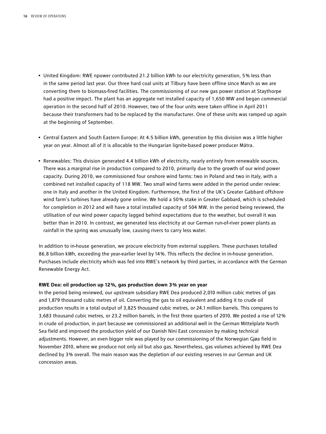- United Kingdom: RWE npower contributed 21.2 billion kWh to our electricity generation, 5 % less than in the same period last year. Our three hard coal units at Tilbury have been offline since March as we are converting them to biomass-fired facilities. The commissioning of our new gas power station at Staythorpe had a positive impact. The plant has an aggregate net installed capacity of 1,650 MW and began commercial operation in the second half of 2010. However, two of the four units were taken offline in April 2011 because their transformers had to be replaced by the manufacturer. One of these units was ramped up again at the beginning of September.
- Central Eastern and South Eastern Europe: At 4.5 billion kWh, generation by this division was a little higher year on year. Almost all of it is allocable to the Hungarian lignite-based power producer Mátra.
- Renewables: This division generated 4.4 billion kWh of electricity, nearly entirely from renewable sources. There was a marginal rise in production compared to 2010, primarily due to the growth of our wind power capacity. During 2010, we commissioned four onshore wind farms: two in Poland and two in Italy, with a combined net installed capacity of 118 MW. Two small wind farms were added in the period under review: one in Italy and another in the United Kingdom. Furthermore, the first of the UK's Greater Gabbard offshore wind farm's turbines have already gone online. We hold a 50 % stake in Greater Gabbard, which is scheduled for completion in 2012 and will have a total installed capacity of 504 MW. In the period being reviewed, the utilisation of our wind power capacity lagged behind expectations due to the weather, but overall it was better than in 2010. In contrast, we generated less electricity at our German run-of-river power plants as rainfall in the spring was unusually low, causing rivers to carry less water.

In addition to in-house generation, we procure electricity from external suppliers. These purchases totalled 86.8 billion kWh, exceeding the year-earlier level by 14 %. This reflects the decline in in-house generation. Purchases include electricity which was fed into RWE's network by third parties, in accordance with the German Renewable Energy Act.

#### **RWE Dea: oil production up 12 %, gas production down 3 % year on year**

In the period being reviewed, our upstream subsidiary RWE Dea produced 2,010 million cubic metres of gas and 1,879 thousand cubic metres of oil. Converting the gas to oil equivalent and adding it to crude oil production results in a total output of 3,825 thousand cubic metres, or 24.1 million barrels. This compares to 3,683 thousand cubic metres, or 23.2 million barrels, in the first three quarters of 2010. We posted a rise of 12 % in crude oil production, in part because we commissioned an additional well in the German Mittelplate North Sea field and improved the production yield of our Danish Nini East concession by making technical adjustments. However, an even bigger role was played by our commissioning of the Norwegian Gjøa field in November 2010, where we produce not only oil but also gas. Nevertheless, gas volumes achieved by RWE Dea declined by 3% overall. The main reason was the depletion of our existing reserves in our German and UK concession areas.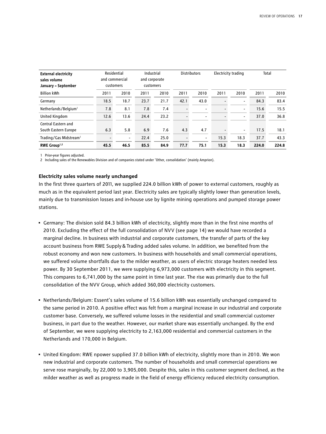| <b>External electricity</b><br>sales volume<br>January – September |      | Residential<br>and commercial<br>customers |      | Industrial<br>and corporate<br>customers |      | <b>Distributors</b>      |                          | Electricity trading      |       | Total |
|--------------------------------------------------------------------|------|--------------------------------------------|------|------------------------------------------|------|--------------------------|--------------------------|--------------------------|-------|-------|
| <b>Billion kWh</b>                                                 | 2011 | 2010                                       | 2011 | 2010                                     | 2011 | 2010                     | 2011                     | 2010                     | 2011  | 2010  |
| Germany                                                            | 18.5 | 18.7                                       | 23.7 | 21.7                                     | 42.1 | 43.0                     | $\overline{\phantom{0}}$ | $\overline{\phantom{a}}$ | 84.3  | 83.4  |
| Netherlands/Belgium <sup>1</sup>                                   | 7.8  | 8.1                                        | 7.8  | 7.4                                      |      | $\overline{\phantom{0}}$ | $\overline{\phantom{0}}$ | $\overline{\phantom{a}}$ | 15.6  | 15.5  |
| United Kingdom                                                     | 12.6 | 13.6                                       | 24.4 | 23.2                                     |      | $\overline{a}$           | $\overline{\phantom{0}}$ | $\overline{\phantom{a}}$ | 37.0  | 36.8  |
| Central Eastern and                                                |      |                                            |      |                                          |      |                          |                          |                          |       |       |
| South Eastern Europe                                               | 6.3  | 5.8                                        | 6.9  | 7.6                                      | 4.3  | 4.7                      | $\overline{\phantom{a}}$ | $\overline{\phantom{a}}$ | 17.5  | 18.1  |
| Trading/Gas Midstream <sup>1</sup>                                 |      | $\blacksquare$                             | 22.4 | 25.0                                     |      | $\overline{\phantom{a}}$ | 15.3                     | 18.3                     | 37.7  | 43.3  |
| RWE Group <sup>1,2</sup>                                           | 45.5 | 46.5                                       | 85.5 | 84.9                                     | 77.7 | 75.1                     | 15.3                     | 18.3                     | 224.0 | 224.8 |

1 Prior-year figures adjusted.

2 Including sales of the Renewables Division and of companies stated under 'Other, consolidation' (mainly Amprion).

#### **Electricity sales volume nearly unchanged**

In the first three quarters of 2011, we supplied 224.0 billion kWh of power to external customers, roughly as much as in the equivalent period last year. Electricity sales are typically slightly lower than generation levels, mainly due to transmission losses and in-house use by lignite mining operations and pumped storage power stations.

- Germany: The division sold 84.3 billion kWh of electricity, slightly more than in the first nine months of 2010. Excluding the effect of the full consolidation of NVV (see page 14) we would have recorded a marginal decline. In business with industrial and corporate customers, the transfer of parts of the key account business from RWE Supply&Trading added sales volume. In addition, we benefited from the robust economy and won new customers. In business with households and small commercial operations, we suffered volume shortfalls due to the milder weather, as users of electric storage heaters needed less power. By 30 September 2011, we were supplying 6,973,000 customers with electricity in this segment. This compares to 6,741,000 by the same point in time last year. The rise was primarily due to the full consolidation of the NVV Group, which added 360,000 electricity customers.
- Netherlands/Belgium: Essent's sales volume of 15.6 billion kWh was essentially unchanged compared to the same period in 2010. A positive effect was felt from a marginal increase in our industrial and corporate customer base. Conversely, we suffered volume losses in the residential and small commercial customer business, in part due to the weather. However, our market share was essentially unchanged. By the end of September, we were supplying electricity to 2,163,000 residential and commercial customers in the Netherlands and 170,000 in Belgium.
- United Kingdom: RWE npower supplied 37.0 billion kWh of electricity, slightly more than in 2010. We won new industrial and corporate customers. The number of households and small commercial operations we serve rose marginally, by 22,000 to 3,905,000. Despite this, sales in this customer segment declined, as the milder weather as well as progress made in the field of energy efficiency reduced electricity consumption.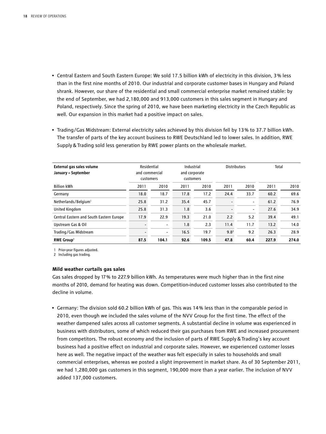- Central Eastern and South Eastern Europe: We sold 17.5 billion kWh of electricity in this division, 3 % less than in the first nine months of 2010. Our industrial and corporate customer bases in Hungary and Poland shrank. However, our share of the residential and small commercial enterprise market remained stable: by the end of September, we had 2,180,000 and 913,000 customers in this sales segment in Hungary and Poland, respectively. Since the spring of 2010, we have been marketing electricity in the Czech Republic as well. Our expansion in this market had a positive impact on sales.
- Trading/Gas Midstream: External electricity sales achieved by this division fell by 13 % to 37.7 billion kWh. The transfer of parts of the key account business to RWE Deutschland led to lower sales. In addition, RWE Supply&Trading sold less generation by RWE power plants on the wholesale market.

| External gas sales volume<br>January – September | Residential<br>and commercial<br>customers |                          |      | Industrial<br><b>Distributors</b><br>Total<br>and corporate<br>customers |                  |                          |       |       |
|--------------------------------------------------|--------------------------------------------|--------------------------|------|--------------------------------------------------------------------------|------------------|--------------------------|-------|-------|
| <b>Billion kWh</b>                               | 2011                                       | 2010                     | 2011 | 2010                                                                     | 2011             | 2010                     | 2011  | 2010  |
| Germany                                          | 18.0                                       | 18.7                     | 17.8 | 17.2                                                                     | 24.4             | 33.7                     | 60.2  | 69.6  |
| Netherlands/Belgium <sup>1</sup>                 | 25.8                                       | 31.2                     | 35.4 | 45.7                                                                     |                  | $\overline{\phantom{a}}$ | 61.2  | 76.9  |
| United Kingdom                                   | 25.8                                       | 31.3                     | 1.8  | 3.6                                                                      |                  | $\overline{\phantom{a}}$ | 27.6  | 34.9  |
| Central Eastern and South Eastern Europe         | 17.9                                       | 22.9                     | 19.3 | 21.0                                                                     | 2.2              | 5.2                      | 39.4  | 49.1  |
| Upstream Gas & Oil                               |                                            | $\overline{\phantom{a}}$ | 1.8  | 2.3                                                                      | 11.4             | 11.7                     | 13.2  | 14.0  |
| Trading/Gas Midstream                            |                                            | -                        | 16.5 | 19.7                                                                     | 9.8 <sup>2</sup> | 9.2                      | 26.3  | 28.9  |
| <b>RWE Group1</b>                                | 87.5                                       | 104.1                    | 92.6 | 109.5                                                                    | 47.8             | 60.4                     | 227.9 | 274.0 |

1 Prior-year figures adjusted.

2 Including gas trading.

#### **Mild weather curtails gas sales**

Gas sales dropped by 17 % to 227.9 billion kWh. As temperatures were much higher than in the first nine months of 2010, demand for heating was down. Competition-induced customer losses also contributed to the decline in volume.

• Germany: The division sold 60.2 billion kWh of gas. This was 14 % less than in the comparable period in 2010, even though we included the sales volume of the NVV Group for the first time. The effect of the weather dampened sales across all customer segments. A substantial decline in volume was experienced in business with distributors, some of which reduced their gas purchases from RWE and increased procurement from competitors. The robust economy and the inclusion of parts of RWE Supply&Trading's key account business had a positive effect on industrial and corporate sales. However, we experienced customer losses here as well. The negative impact of the weather was felt especially in sales to households and small commercial enterprises, whereas we posted a slight improvement in market share. As of 30 September 2011, we had 1,280,000 gas customers in this segment, 190,000 more than a year earlier. The inclusion of NVV added 137,000 customers.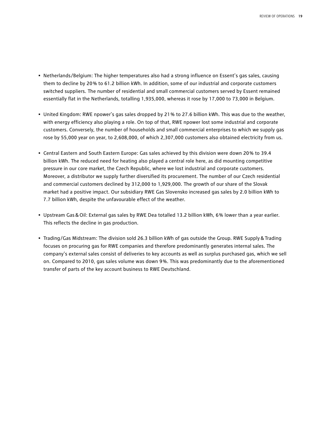- Netherlands/Belgium: The higher temperatures also had a strong influence on Essent's gas sales, causing them to decline by 20 % to 61.2 billion kWh. In addition, some of our industrial and corporate customers switched suppliers. The number of residential and small commercial customers served by Essent remained essentially flat in the Netherlands, totalling 1,935,000, whereas it rose by 17,000 to 73,000 in Belgium.
- United Kingdom: RWE npower's gas sales dropped by 21 % to 27.6 billion kWh. This was due to the weather, with energy efficiency also playing a role. On top of that, RWE npower lost some industrial and corporate customers. Conversely, the number of households and small commercial enterprises to which we supply gas rose by 55,000 year on year, to 2,608,000, of which 2,307,000 customers also obtained electricity from us.
- Central Eastern and South Eastern Europe: Gas sales achieved by this division were down 20 % to 39.4 billion kWh. The reduced need for heating also played a central role here, as did mounting competitive pressure in our core market, the Czech Republic, where we lost industrial and corporate customers. Moreover, a distributor we supply further diversified its procurement. The number of our Czech residential and commercial customers declined by 312,000 to 1,929,000. The growth of our share of the Slovak market had a positive impact. Our subsidiary RWE Gas Slovensko increased gas sales by 2.0 billion kWh to 7.7 billion kWh, despite the unfavourable effect of the weather.
- Upstream Gas&Oil: External gas sales by RWE Dea totalled 13.2 billion kWh, 6 % lower than a year earlier. This reflects the decline in gas production.
- Trading/Gas Midstream: The division sold 26.3 billion kWh of gas outside the Group. RWE Supply&Trading focuses on procuring gas for RWE companies and therefore predominantly generates internal sales. The company's external sales consist of deliveries to key accounts as well as surplus purchased gas, which we sell on. Compared to 2010, gas sales volume was down 9 %. This was predominantly due to the aforementioned transfer of parts of the key account business to RWE Deutschland.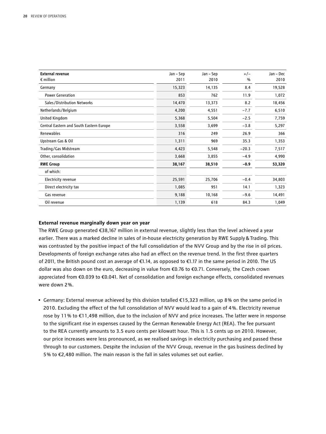| <b>External revenue</b>                  | Jan – Sep | Jan - Sep | $+/-$   | Jan - Dec |
|------------------------------------------|-----------|-----------|---------|-----------|
| $\epsilon$ million                       | 2011      | 2010      | %       | 2010      |
| Germany                                  | 15,323    | 14,135    | 8.4     | 19,528    |
| <b>Power Generation</b>                  | 853       | 762       | 11.9    | 1,072     |
| Sales/Distribution Networks              | 14,470    | 13,373    | 8.2     | 18,456    |
| Netherlands/Belgium                      | 4,200     | 4,551     | $-7.7$  | 6,510     |
| United Kingdom                           | 5,368     | 5,504     | $-2.5$  | 7,759     |
| Central Eastern and South Eastern Europe | 3,558     | 3,699     | $-3.8$  | 5,297     |
| Renewables                               | 316       | 249       | 26.9    | 366       |
| Upstream Gas & Oil                       | 1,311     | 969       | 35.3    | 1,353     |
| Trading/Gas Midstream                    | 4,423     | 5,548     | $-20.3$ | 7,517     |
| Other, consolidation                     | 3,668     | 3,855     | $-4.9$  | 4,990     |
| <b>RWE Group</b>                         | 38,167    | 38,510    | $-0.9$  | 53,320    |
| of which:                                |           |           |         |           |
| Electricity revenue                      | 25,591    | 25,706    | $-0.4$  | 34,803    |
| Direct electricity tax                   | 1,085     | 951       | 14.1    | 1,323     |
| Gas revenue                              | 9,188     | 10,168    | $-9.6$  | 14,491    |
| Oil revenue                              | 1,139     | 618       | 84.3    | 1,049     |

#### **External revenue marginally down year on year**

The RWE Group generated €38,167 million in external revenue, slightly less than the level achieved a year earlier. There was a marked decline in sales of in-house electricity generation by RWE Supply&Trading. This was contrasted by the positive impact of the full consolidation of the NVV Group and by the rise in oil prices. Developments of foreign exchange rates also had an effect on the revenue trend. In the first three quarters of 2011, the British pound cost an average of €1.14, as opposed to €1.17 in the same period in 2010. The US dollar was also down on the euro, decreasing in value from €0.76 to €0.71. Conversely, the Czech crown appreciated from €0.039 to €0.041. Net of consolidation and foreign exchange effects, consolidated revenues were down 2 %.

• Germany: External revenue achieved by this division totalled €15,323 million, up 8 % on the same period in 2010. Excluding the effect of the full consolidation of NVV would lead to a gain of 4 %. Electricity revenue rose by 11 % to €11,498 million, due to the inclusion of NVV and price increases. The latter were in response to the significant rise in expenses caused by the German Renewable Energy Act (REA). The fee pursuant to the REA currently amounts to 3.5 euro cents per kilowatt hour. This is 1.5 cents up on 2010. However, our price increases were less pronounced, as we realised savings in electricity purchasing and passed these through to our customers. Despite the inclusion of the NVV Group, revenue in the gas business declined by 5 % to €2,480 million. The main reason is the fall in sales volumes set out earlier.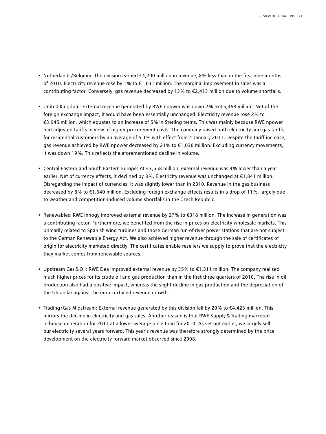- Netherlands/Belgium: The division earned €4,200 million in revenue, 8 % less than in the first nine months of 2010. Electricity revenue rose by 1 % to €1,631 million. The marginal improvement in sales was a contributing factor. Conversely, gas revenue decreased by 13 % to €2,413 million due to volume shortfalls.
- United Kingdom: External revenue generated by RWE npower was down 2 % to €5,368 million. Net of the foreign exchange impact, it would have been essentially unchanged. Electricity revenue rose 2 % to €3,945 million, which equates to an increase of 5 % in Sterling terms. This was mainly because RWE npower had adjusted tariffs in view of higher procurement costs. The company raised both electricity and gas tariffs for residential customers by an average of 5.1 % with effect from 4 January 2011. Despite the tariff increase, gas revenue achieved by RWE npower decreased by 21 % to €1,030 million. Excluding currency movements, it was down 19%. This reflects the aforementioned decline in volume.
- Central Eastern and South Eastern Europe: At €3,558 million, external revenue was 4 % lower than a year earlier. Net of currency effects, it declined by 8 %. Electricity revenue was unchanged at €1,841 million. Disregarding the impact of currencies, it was slightly lower than in 2010. Revenue in the gas business decreased by 8 % to €1,640 million. Excluding foreign exchange effects results in a drop of 11 %, largely due to weather and competition-induced volume shortfalls in the Czech Republic.
- Renewables: RWE Innogy improved external revenue by 27 % to €316 million. The increase in generation was a contributing factor. Furthermore, we benefited from the rise in prices on electricity wholesale markets. This primarily related to Spanish wind turbines and those German run-of-river power stations that are not subject to the German Renewable Energy Act. We also achieved higher revenue through the sale of certificates of origin for electricity marketed directly. The certificates enable resellers we supply to prove that the electricity they market comes from renewable sources.
- Upstream Gas&Oil: RWE Dea improved external revenue by 35 % to €1,311 million. The company realised much higher prices for its crude oil and gas production than in the first three quarters of 2010. The rise in oil production also had a positive impact, whereas the slight decline in gas production and the depreciation of the US dollar against the euro curtailed revenue growth.
- Trading/Gas Midstream: External revenue generated by this division fell by 20 % to €4,423 million. This mirrors the decline in electricity and gas sales. Another reason is that RWE Supply&Trading marketed in-house generation for 2011 at a lower average price than for 2010. As set out earlier, we largely sell our electricity several years forward. This year's revenue was therefore strongly determined by the price development on the electricity forward market observed since 2008.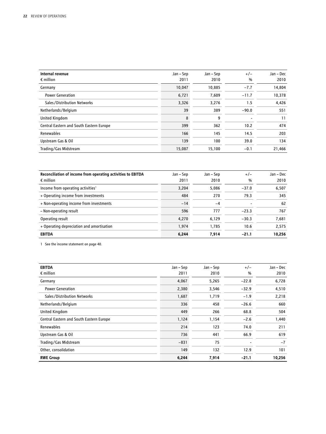| Internal revenue<br>$\epsilon$ million   | Jan - Sep<br>2011 | Jan – Sep<br>2010 | $+/-$<br>$\%$ | Jan - Dec<br>2010 |
|------------------------------------------|-------------------|-------------------|---------------|-------------------|
| Germany                                  | 10,047            | 10.885            | $-7.7$        | 14,804            |
| <b>Power Generation</b>                  | 6,721             | 7,609             | $-11.7$       | 10,378            |
| Sales/Distribution Networks              | 3,326             | 3,276             | 1.5           | 4,426             |
| Netherlands/Belgium                      | 39                | 389               | $-90.0$       | 551               |
| United Kingdom                           | 8                 | 9                 |               | 11                |
| Central Eastern and South Eastern Europe | 399               | 362               | 10.2          | 474               |
| Renewables                               | 166               | 145               | 14.5          | 203               |
| Upstream Gas & Oil                       | 139               | 100               | 39.0          | 134               |
| Trading/Gas Midstream                    | 15,087            | 15,100            | $-0.1$        | 21,466            |

| Reconciliation of income from operating activities to EBITDA<br>$\epsilon$ million | Jan – Sep<br>2011 | Jan – Sep<br>2010 | $+/-$<br>$\frac{0}{0}$ | Jan – Dec<br>2010 |
|------------------------------------------------------------------------------------|-------------------|-------------------|------------------------|-------------------|
| Income from operating activities <sup>1</sup>                                      | 3.204             | 5.086             | $-37.0$                | 6,507             |
| + Operating income from investments                                                | 484               | 270               | 79.3                   | 345               |
| + Non-operating income from investments                                            | $-14$             | $-4$              |                        | 62                |
| - Non-operating result                                                             | 596               | 777               | $-23.3$                | 767               |
| Operating result                                                                   | 4,270             | 6,129             | $-30.3$                | 7,681             |
| + Operating depreciation and amortisation                                          | 1,974             | 1.785             | 10.6                   | 2.575             |
| <b>EBITDA</b>                                                                      | 6.244             | 7.914             | $-21.1$                | 10,256            |

1 See the income statement on page 40.

| <b>EBITDA</b>                            | Jan – Sep | Jan – Sep | $+/-$   | Jan - Dec |
|------------------------------------------|-----------|-----------|---------|-----------|
| $\epsilon$ million                       | 2011      | 2010      | %       | 2010      |
| Germany                                  | 4,067     | 5,265     | $-22.8$ | 6,728     |
| <b>Power Generation</b>                  | 2,380     | 3,546     | $-32.9$ | 4,510     |
| Sales/Distribution Networks              | 1,687     | 1,719     | $-1.9$  | 2,218     |
| Netherlands/Belgium                      | 336       | 458       | $-26.6$ | 660       |
| United Kingdom                           | 449       | 266       | 68.8    | 504       |
| Central Eastern and South Eastern Europe | 1,124     | 1,154     | $-2.6$  | 1,440     |
| Renewables                               | 214       | 123       | 74.0    | 211       |
| Upstream Gas & Oil                       | 736       | 441       | 66.9    | 619       |
| Trading/Gas Midstream                    | $-831$    | 75        |         | $-7$      |
| Other, consolidation                     | 149       | 132       | 12.9    | 101       |
| <b>RWE Group</b>                         | 6,244     | 7,914     | $-21.1$ | 10,256    |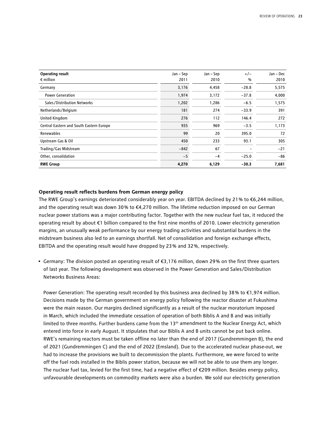| <b>Operating result</b>                  | Jan – Sep | Jan – Sep | $+/-$   | Jan - Dec |
|------------------------------------------|-----------|-----------|---------|-----------|
| $\epsilon$ million                       | 2011      | 2010      | %       | 2010      |
| Germany                                  | 3,176     | 4,458     | $-28.8$ | 5,575     |
| <b>Power Generation</b>                  | 1,974     | 3,172     | $-37.8$ | 4,000     |
| Sales/Distribution Networks              | 1,202     | 1,286     | $-6.5$  | 1,575     |
| Netherlands/Belgium                      | 181       | 274       | $-33.9$ | 391       |
| <b>United Kingdom</b>                    | 276       | 112       | 146.4   | 272       |
| Central Eastern and South Eastern Europe | 935       | 969       | $-3.5$  | 1,173     |
| Renewables                               | 99        | 20        | 395.0   | 72        |
| Upstream Gas & Oil                       | 450       | 233       | 93.1    | 305       |
| Trading/Gas Midstream                    | $-842$    | 67        |         | $-21$     |
| Other, consolidation                     | $-5$      | $-4$      | $-25.0$ | $-86$     |
| <b>RWE Group</b>                         | 4,270     | 6,129     | $-30.3$ | 7,681     |

#### **Operating result reflects burdens from German energy policy**

The RWE Group's earnings deteriorated considerably year on year. EBITDA declined by 21 % to €6,244 million, and the operating result was down 30 % to €4,270 million. The lifetime reduction imposed on our German nuclear power stations was a major contributing factor. Together with the new nuclear fuel tax, it reduced the operating result by about €1 billion compared to the first nine months of 2010. Lower electricity generation margins, an unusually weak performance by our energy trading activities and substantial burdens in the midstream business also led to an earnings shortfall. Net of consolidation and foreign exchange effects, EBITDA and the operating result would have dropped by 23 % and 32 %, respectively.

• Germany: The division posted an operating result of €3,176 million, down 29 % on the first three quarters of last year. The following development was observed in the Power Generation and Sales/Distribution Networks Business Areas:

Power Generation: The operating result recorded by this business area declined by 38% to €1,974 million. Decisions made by the German government on energy policy following the reactor disaster at Fukushima were the main reason. Our margins declined significantly as a result of the nuclear moratorium imposed in March, which included the immediate cessation of operation of both Biblis A and B and was initially limited to three months. Further burdens came from the 13<sup>th</sup> amendment to the Nuclear Energy Act, which entered into force in early August. It stipulates that our Biblis A and B units cannot be put back online. RWE's remaining reactors must be taken offline no later than the end of 2017 (Gundremmingen B), the end of 2021 (Gundremmingen C) and the end of 2022 (Emsland). Due to the accelerated nuclear phase-out, we had to increase the provisions we built to decommission the plants. Furthermore, we were forced to write off the fuel rods installed in the Biblis power station, because we will not be able to use them any longer. The nuclear fuel tax, levied for the first time, had a negative effect of €209 million. Besides energy policy, unfavourable developments on commodity markets were also a burden. We sold our electricity generation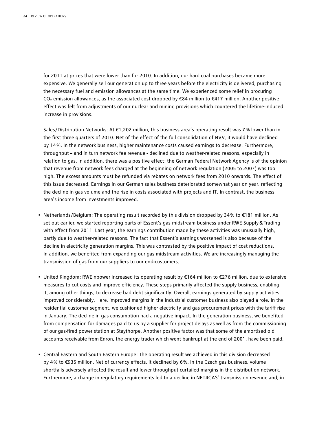for 2011 at prices that were lower than for 2010. In addition, our hard coal purchases became more expensive. We generally sell our generation up to three years before the electricity is delivered, purchasing the necessary fuel and emission allowances at the same time. We experienced some relief in procuring CO<sub>2</sub> emission allowances, as the associated cost dropped by  $\epsilon$ 84 million to  $\epsilon$ 417 million. Another positive effect was felt from adjustments of our nuclear and mining provisions which countered the lifetime-induced increase in provisions.

Sales/Distribution Networks: At €1,202 million, this business area's operating result was 7 % lower than in the first three quarters of 2010. Net of the effect of the full consolidation of NVV, it would have declined by 14 %. In the network business, higher maintenance costs caused earnings to decrease. Furthermore, throughput – and in turn network fee revenue - declined due to weather-related reasons, especially in relation to gas. In addition, there was a positive effect: the German Federal Network Agency is of the opinion that revenue from network fees charged at the beginning of network regulation (2005 to 2007) was too high. The excess amounts must be refunded via rebates on network fees from 2010 onwards. The effect of this issue decreased. Earnings in our German sales business deteriorated somewhat year on year, reflecting the decline in gas volume and the rise in costs associated with projects and IT. In contrast, the business area's income from investments improved.

- Netherlands/Belgium: The operating result recorded by this division dropped by 34 % to €181 million. As set out earlier, we started reporting parts of Essent's gas midstream business under RWE Supply&Trading with effect from 2011. Last year, the earnings contribution made by these activities was unusually high, partly due to weather-related reasons. The fact that Essent's earnings worsened is also because of the decline in electricity generation margins. This was contrasted by the positive impact of cost reductions. In addition, we benefited from expanding our gas midstream activities. We are increasingly managing the transmission of gas from our suppliers to our end-customers.
- United Kingdom: RWE npower increased its operating result by €164 million to €276 million, due to extensive measures to cut costs and improve efficiency. These steps primarily affected the supply business, enabling it, among other things, to decrease bad debt significantly. Overall, earnings generated by supply activities improved considerably. Here, improved margins in the industrial customer business also played a role. In the residential customer segment, we cushioned higher electricity and gas procurement prices with the tariff rise in January. The decline in gas consumption had a negative impact. In the generation business, we benefited from compensation for damages paid to us by a supplier for project delays as well as from the commissioning of our gas-fired power station at Staythorpe. Another positive factor was that some of the amortised old accounts receivable from Enron, the energy trader which went bankrupt at the end of 2001, have been paid.
- Central Eastern and South Eastern Europe: The operating result we achieved in this division decreased by 4 % to €935 million. Net of currency effects, it declined by 6 %. In the Czech gas business, volume shortfalls adversely affected the result and lower throughput curtailed margins in the distribution network. Furthermore, a change in regulatory requirements led to a decline in NET4GAS' transmission revenue and, in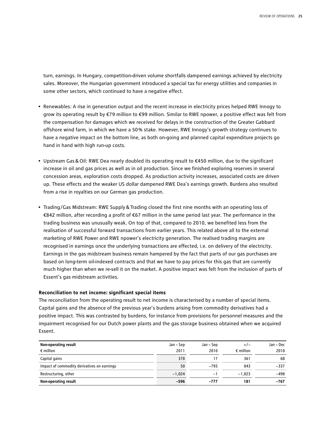turn, earnings. In Hungary, competition-driven volume shortfalls dampened earnings achieved by electricity sales. Moreover, the Hungarian government introduced a special tax for energy utilities and companies in some other sectors, which continued to have a negative effect.

- Renewables: A rise in generation output and the recent increase in electricity prices helped RWE Innogy to grow its operating result by €79 million to €99 million. Similar to RWE npower, a positive effect was felt from the compensation for damages which we received for delays in the construction of the Greater Gabbard offshore wind farm, in which we have a 50 % stake. However, RWE Innogy's growth strategy continues to have a negative impact on the bottom line, as both on-going and planned capital expenditure projects go hand in hand with high run-up costs.
- Upstream Gas&Oil: RWE Dea nearly doubled its operating result to €450 million, due to the significant increase in oil and gas prices as well as in oil production. Since we finished exploring reserves in several concession areas, exploration costs dropped. As production activity increases, associated costs are driven up. These effects and the weaker US dollar dampened RWE Dea's earnings growth. Burdens also resulted from a rise in royalties on our German gas production.
- Trading/Gas Midstream: RWE Supply&Trading closed the first nine months with an operating loss of €842 million, after recording a profit of €67 million in the same period last year. The performance in the trading business was unusually weak. On top of that, compared to 2010, we benefited less from the realisation of successful forward transactions from earlier years. This related above all to the external marketing of RWE Power and RWE npower's electricity generation. The realised trading margins are recognised in earnings once the underlying transactions are effected, i.e. on delivery of the electricity. Earnings in the gas midstream business remain hampered by the fact that parts of our gas purchases are based on long-term oil-indexed contracts and that we have to pay prices for this gas that are currently much higher than when we re-sell it on the market. A positive impact was felt from the inclusion of parts of Essent's gas midstream activities.

#### **Reconciliation to net income: significant special items**

The reconciliation from the operating result to net income is characterised by a number of special items. Capital gains and the absence of the previous year's burdens arising from commodity derivatives had a positive impact. This was contrasted by burdens, for instance from provisions for personnel measures and the impairment recognised for our Dutch power plants and the gas storage business obtained when we acquired Essent.

| Non-operating result                        | Jan – Sep | Jan – Sep | $+/-$              | Jan – Dec |
|---------------------------------------------|-----------|-----------|--------------------|-----------|
| $\epsilon$ million                          | 2011      | 2010      | $\epsilon$ million | 2010      |
| Capital gains                               | 378       | 17        | 361                | 68        |
| Impact of commodity derivatives on earnings | 50        | $-793$    | 843                | $-337$    |
| Restructuring, other                        | $-1,024$  | $-1$      | $-1.023$           | $-498$    |
| Non-operating result                        | $-596$    | -777      | 181                | $-767$    |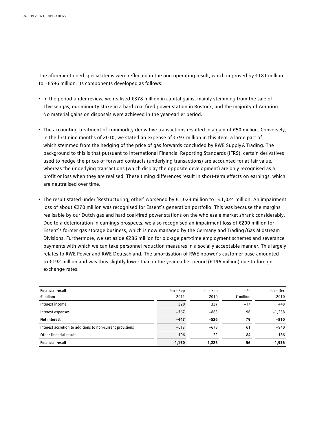The aforementioned special items were reflected in the non-operating result, which improved by €181 million to −€596 million. Its components developed as follows:

- In the period under review, we realised €378 million in capital gains, mainly stemming from the sale of Thyssengas, our minority stake in a hard coal-fired power station in Rostock, and the majority of Amprion. No material gains on disposals were achieved in the year-earlier period.
- The accounting treatment of commodity derivative transactions resulted in a gain of €50 million. Conversely, in the first nine months of 2010, we stated an expense of €793 million in this item, a large part of which stemmed from the hedging of the price of gas forwards concluded by RWE Supply&Trading. The background to this is that pursuant to International Financial Reporting Standards (IFRS), certain derivatives used to hedge the prices of forward contracts (underlying transactions) are accounted for at fair value, whereas the underlying transactions (which display the opposite development) are only recognised as a profit or loss when they are realised. These timing differences result in short-term effects on earnings, which are neutralised over time.
- The result stated under 'Restructuring, other' worsened by €1,023 million to −€1,024 million. An impairment loss of about €270 million was recognised for Essent's generation portfolio. This was because the margins realisable by our Dutch gas and hard coal-fired power stations on the wholesale market shrank considerably. Due to a deterioration in earnings prospects, we also recognised an impairment loss of €200 million for Essent's former gas storage business, which is now managed by the Germany and Trading/Gas Midstream Divisions. Furthermore, we set aside €286 million for old-age part-time employment schemes and severance payments with which we can take personnel reduction measures in a socially acceptable manner. This largely relates to RWE Power and RWE Deutschland. The amortisation of RWE npower's customer base amounted to €192 million and was thus slightly lower than in the year-earlier period (€196 million) due to foreign exchange rates.

| <b>Financial result</b><br>$\epsilon$ million             | Jan – Sep<br>2011 | Jan – Sep<br>2010 | $+/-$<br>$\epsilon$ million | Jan - Dec<br>2010 |
|-----------------------------------------------------------|-------------------|-------------------|-----------------------------|-------------------|
| Interest income                                           | 320               | 337               | $-17$                       | 448               |
| Interest expenses                                         | $-767$            | $-863$            | 96                          | $-1,258$          |
| <b>Net interest</b>                                       | $-447$            | $-526$            | 79                          | $-810$            |
| Interest accretion to additions to non-current provisions | $-617$            | $-678$            | 61                          | $-940$            |
| Other financial result                                    | $-106$            | $-22$             | $-84$                       | $-186$            |
| <b>Financial result</b>                                   | $-1,170$          | $-1,226$          | 56                          | $-1,936$          |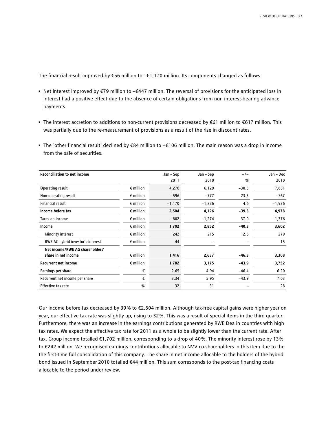The financial result improved by €56 million to −€1,170 million. Its components changed as follows:

- Net interest improved by €79 million to −€447 million. The reversal of provisions for the anticipated loss in interest had a positive effect due to the absence of certain obligations from non interest-bearing advance payments.
- The interest accretion to additions to non-current provisions decreased by €61 million to €617 million. This was partially due to the re-measurement of provisions as a result of the rise in discount rates.
- The 'other financial result' declined by €84 million to −€106 million. The main reason was a drop in income from the sale of securities.

| <b>Reconciliation to net income</b> |                    | Jan – Sep | Jan - Sep | $+/-$   | Jan - Dec |
|-------------------------------------|--------------------|-----------|-----------|---------|-----------|
|                                     |                    | 2011      | 2010      | %       | 2010      |
| Operating result                    | $\epsilon$ million | 4,270     | 6,129     | $-30.3$ | 7,681     |
| Non-operating result                | $\epsilon$ million | $-596$    | $-777$    | 23.3    | $-767$    |
| Financial result                    | $\epsilon$ million | $-1,170$  | $-1,226$  | 4.6     | $-1,936$  |
| Income before tax                   | $\epsilon$ million | 2,504     | 4,126     | $-39.3$ | 4,978     |
| Taxes on income                     | $\epsilon$ million | $-802$    | $-1,274$  | 37.0    | $-1,376$  |
| Income                              | $\epsilon$ million | 1,702     | 2,852     | $-40.3$ | 3,602     |
| Minority interest                   | $\epsilon$ million | 242       | 215       | 12.6    | 279       |
| RWE AG hybrid investor's interest   | $\epsilon$ million | 44        |           |         | 15        |
| Net income/RWE AG shareholders'     |                    |           |           |         |           |
| share in net income                 | $\epsilon$ million | 1,416     | 2,637     | $-46.3$ | 3,308     |
| <b>Recurrent net income</b>         | $\epsilon$ million | 1,782     | 3,175     | $-43.9$ | 3,752     |
| Earnings per share                  | €                  | 2.65      | 4.94      | $-46.4$ | 6.20      |
| Recurrent net income per share      | €                  | 3.34      | 5.95      | $-43.9$ | 7.03      |
| Effective tax rate                  | $\frac{9}{6}$      | 32        | 31        |         | 28        |

Our income before tax decreased by 39 % to €2,504 million. Although tax-free capital gains were higher year on year, our effective tax rate was slightly up, rising to 32 %. This was a result of special items in the third quarter. Furthermore, there was an increase in the earnings contributions generated by RWE Dea in countries with high tax rates. We expect the effective tax rate for 2011 as a whole to be slightly lower than the current rate. After tax, Group income totalled €1,702 million, corresponding to a drop of 40 %. The minority interest rose by 13 % to €242 million. We recognised earnings contributions allocable to NVV co-shareholders in this item due to the the first-time full consolidation of this company. The share in net income allocable to the holders of the hybrid bond issued in September 2010 totalled €44 million. This sum corresponds to the post-tax financing costs allocable to the period under review.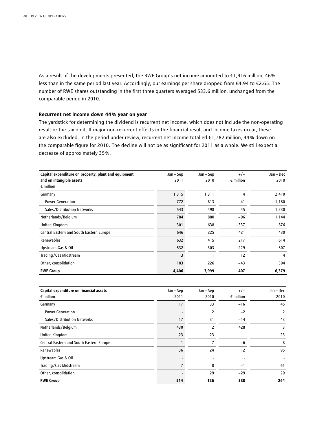As a result of the developments presented, the RWE Group's net income amounted to €1,416 million, 46 % less than in the same period last year. Accordingly, our earnings per share dropped from €4.94 to €2.65. The number of RWE shares outstanding in the first three quarters averaged 533.6 million, unchanged from the comparable period in 2010.

#### **Recurrent net income down 44 % year on year**

The yardstick for determining the dividend is recurrent net income, which does not include the non-operating result or the tax on it. If major non-recurrent effects in the financial result and income taxes occur, these are also excluded. In the period under review, recurrent net income totalled €1,782 million, 44 % down on the comparable figure for 2010. The decline will not be as significant for 2011 as a whole. We still expect a decrease of approximately 35 %.

| Capital expenditure on property, plant and equipment<br>and on intangible assets | Jan – Sep<br>2011 | Jan – Sep<br>2010 | $+/-$<br>$\epsilon$ million | Jan - Dec<br>2010 |
|----------------------------------------------------------------------------------|-------------------|-------------------|-----------------------------|-------------------|
| $\epsilon$ million                                                               |                   |                   |                             |                   |
| Germany                                                                          | 1,315             | 1,311             | 4                           | 2,410             |
| <b>Power Generation</b>                                                          | 772               | 813               | $-41$                       | 1,180             |
| Sales/Distribution Networks                                                      | 543               | 498               | 45                          | 1,230             |
| Netherlands/Belgium                                                              | 784               | 880               | $-96$                       | 1,144             |
| <b>United Kingdom</b>                                                            | 301               | 638               | $-337$                      | 876               |
| Central Eastern and South Eastern Europe                                         | 646               | 225               | 421                         | 430               |
| Renewables                                                                       | 632               | 415               | 217                         | 614               |
| Upstream Gas & Oil                                                               | 532               | 303               | 229                         | 507               |
| Trading/Gas Midstream                                                            | 13                | 1                 | 12                          | 4                 |
| Other, consolidation                                                             | 183               | 226               | $-43$                       | 394               |
| <b>RWE Group</b>                                                                 | 4,406             | 3,999             | 407                         | 6,379             |

| Capital expenditure on financial assets  | Jan – Sep | Jan – Sep      | $+/-$              | Jan - Dec |
|------------------------------------------|-----------|----------------|--------------------|-----------|
| $\epsilon$ million                       | 2011      | 2010           | $\epsilon$ million | 2010      |
| Germany                                  | 17        | 33             | $-16$              | 45        |
| <b>Power Generation</b>                  |           | 2              | $-2$               | 2         |
| Sales/Distribution Networks              | 17        | 31             | $-14$              | 43        |
| Netherlands/Belgium                      | 430       | 2              | 428                | 3         |
| <b>United Kingdom</b>                    | 23        | 23             |                    | 23        |
| Central Eastern and South Eastern Europe |           | $\overline{7}$ | $-6$               | 8         |
| Renewables                               | 36        | 24             | 12                 | 95        |
| Upstream Gas & Oil                       |           |                |                    |           |
| Trading/Gas Midstream                    |           | 8              | $-1$               | 61        |
| Other, consolidation                     |           | 29             | $-29$              | 29        |
| <b>RWE Group</b>                         | 514       | 126            | 388                | 264       |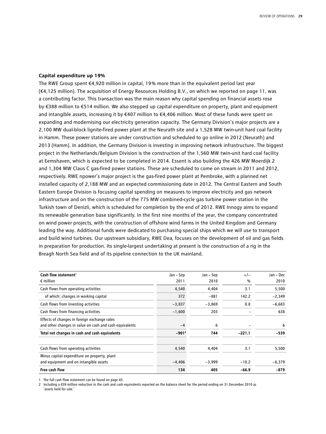#### **Capital expenditure up 19%**

The RWE Group spent €4,920 million in capital, 19 % more than in the equivalent period last year (€4,125 million). The acquisition of Energy Resources Holding B.V., on which we reported on page 11, was a contributing factor. This transaction was the main reason why capital spending on financial assets rose by €388 million to €514 million. We also stepped up capital expenditure on property, plant and equipment and intangible assets, increasing it by €407 million to €4,406 million. Most of these funds were spent on expanding and modernising our electricity generation capacity. The Germany Division's major projects are a 2,100 MW dual-block lignite-fired power plant at the Neurath site and a 1,528 MW twin-unit hard coal facility in Hamm. These power stations are under construction and scheduled to go online in 2012 (Neurath) and 2013 (Hamm). In addition, the Germany Division is investing in improving network infrastructure. The biggest project in the Netherlands/Belgium Division is the construction of the 1,560 MW twin-unit hard coal facility at Eemshaven, which is expected to be completed in 2014. Essent is also building the 426 MW Moerdijk 2 and 1,304 MW Claus C gas-fired power stations. These are scheduled to come on stream in 2011 and 2012, respectively. RWE npower's major project is the gas-fired power plant at Pembroke, with a planned net installed capacity of 2,188 MW and an expected commissioning date in 2012. The Central Eastern and South Eastern Europe Division is focusing capital spending on measures to improve electricity and gas network infrastructure and on the construction of the 775 MW combined-cycle gas turbine power station in the Turkish town of Denizli, which is scheduled for completion by the end of 2012. RWE Innogy aims to expand its renewable generation base significantly. In the first nine months of the year, the company concentrated on wind power projects, with the construction of offshore wind farms in the United Kingdom and Germany leading the way. Additional funds were dedicated to purchasing special ships which we will use to transport and build wind turbines. Our upstream subsidiary, RWE Dea, focuses on the development of oil and gas fields in preparation for production. Its single-largest undertaking at present is the construction of a rig in the Breagh North Sea field and of its pipeline connection to the UK mainland.

| Cash flow statement <sup>1</sup>                        | Jan – Sep | Jan – Sep | $+/-$    | Jan - Dec |
|---------------------------------------------------------|-----------|-----------|----------|-----------|
| $\epsilon$ million                                      | 2011      | 2010      | %        | 2010      |
| Cash flows from operating activities                    | 4,540     | 4,404     | 3.1      | 5,500     |
| of which: changes in working capital                    | 372       | $-881$    | 142.2    | $-2,349$  |
| Cash flows from investing activities                    | $-3,837$  | $-3,869$  | 0.8      | $-6,683$  |
| Cash flows from financing activities                    | $-1,600$  | 203       |          | 638       |
| Effects of changes in foreign exchange rates            |           |           |          |           |
| and other changes in value on cash and cash equivalents | $-4$      | 6         |          | 6         |
| Total net changes in cash and cash equivalents          | $-901^2$  | 744       | $-221.1$ | $-539$    |
| Cash flows from operating activities                    | 4,540     | 4,404     | 3.1      | 5,500     |
| Minus capital expenditure on property, plant            |           |           |          |           |
| and equipment and on intangible assets                  | $-4,406$  | $-3,999$  | $-10.2$  | $-6,379$  |
| Free cash flow                                          | 134       | 405       | $-66.9$  | $-879$    |

1 The full cash flow statement can be found on page 43.

2 Including a €59 million reduction in the cash and cash equivalents reported on the balance sheet for the period ending on 31 December 2010 as 'assets held for sale.'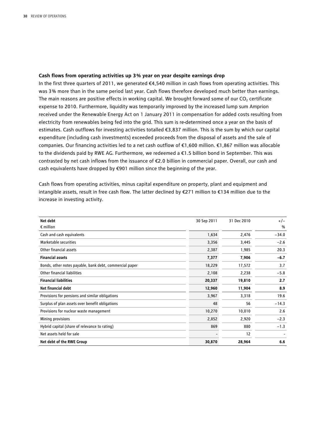#### **Cash flows from operating activities up 3 % year on year despite earnings drop**

In the first three quarters of 2011, we generated €4,540 million in cash flows from operating activities. This was 3 % more than in the same period last year. Cash flows therefore developed much better than earnings. The main reasons are positive effects in working capital. We brought forward some of our CO<sub>2</sub> certificate expense to 2010. Furthermore, liquidity was temporarily improved by the increased lump sum Amprion received under the Renewable Energy Act on 1 January 2011 in compensation for added costs resulting from electricity from renewables being fed into the grid. This sum is re-determined once a year on the basis of estimates. Cash outflows for investing activities totalled €3,837 million. This is the sum by which our capital expenditure (including cash investments) exceeded proceeds from the disposal of assets and the sale of companies. Our financing activities led to a net cash outflow of €1,600 million. €1,867 million was allocable to the dividends paid by RWE AG. Furthermore, we redeemed a €1.5 billion bond in September. This was contrasted by net cash inflows from the issuance of €2.0 billion in commercial paper. Overall, our cash and cash equivalents have dropped by €901 million since the beginning of the year.

Cash flows from operating activities, minus capital expenditure on property, plant and equipment and intangible assets, result in free cash flow. The latter declined by €271 million to €134 million due to the increase in investing activity.

| Net debt                                                | 30 Sep 2011 | 31 Dec 2010 | $+/-$         |
|---------------------------------------------------------|-------------|-------------|---------------|
| $\epsilon$ million                                      |             |             | $\frac{0}{0}$ |
| Cash and cash equivalents                               | 1,634       | 2,476       | $-34.0$       |
| Marketable securities                                   | 3,356       | 3,445       | $-2.6$        |
| Other financial assets                                  | 2,387       | 1,985       | 20.3          |
| <b>Financial assets</b>                                 | 7,377       | 7,906       | $-6.7$        |
| Bonds, other notes payable, bank debt, commercial paper | 18,229      | 17,572      | 3.7           |
| Other financial liabilities                             | 2,108       | 2,238       | $-5.8$        |
| <b>Financial liabilities</b>                            | 20,337      | 19,810      | 2.7           |
| <b>Net financial debt</b>                               | 12,960      | 11,904      | 8.9           |
| Provisions for pensions and similar obligations         | 3,967       | 3,318       | 19.6          |
| Surplus of plan assets over benefit obligations         | 48          | 56          | $-14.3$       |
| Provisions for nuclear waste management                 | 10,270      | 10,010      | 2.6           |
| Mining provisions                                       | 2,852       | 2,920       | $-2.3$        |
| Hybrid capital (share of relevance to rating)           | 869         | 880         | $-1.3$        |
| Net assets held for sale                                |             | 12          |               |
| Net debt of the RWE Group                               | 30,870      | 28,964      | 6.6           |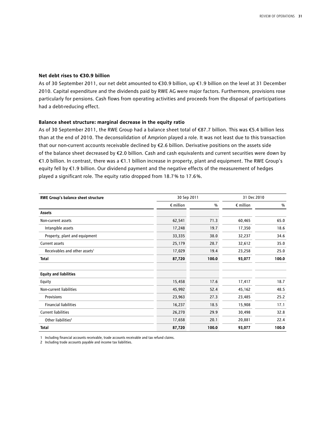#### **Net debt rises to €30.9 billion**

As of 30 September 2011, our net debt amounted to €30.9 billion, up €1.9 billion on the level at 31 December 2010. Capital expenditure and the dividends paid by RWE AG were major factors. Furthermore, provisions rose particularly for pensions. Cash flows from operating activities and proceeds from the disposal of participations had a debt-reducing effect.

#### **Balance sheet structure: marginal decrease in the equity ratio**

As of 30 September 2011, the RWE Group had a balance sheet total of €87.7 billion. This was €5.4 billion less than at the end of 2010. The deconsolidation of Amprion played a role. It was not least due to this transaction that our non-current accounts receivable declined by €2.6 billion. Derivative positions on the assets side of the balance sheet decreased by €2.0 billion. Cash and cash equivalents and current securities were down by €1.0 billion. In contrast, there was a €1.1 billion increase in property, plant and equipment. The RWE Group's equity fell by €1.9 billion. Our dividend payment and the negative effects of the measurement of hedges played a significant role. The equity ratio dropped from 18.7 % to 17.6 %.

| RWE Group's balance sheet structure       | 30 Sep 2011        |       | 31 Dec 2010        |       |
|-------------------------------------------|--------------------|-------|--------------------|-------|
|                                           | $\epsilon$ million | %     | $\epsilon$ million | %     |
| Assets                                    |                    |       |                    |       |
| Non-current assets                        | 62,541             | 71.3  | 60,465             | 65.0  |
| Intangible assets                         | 17,248             | 19.7  | 17,350             | 18.6  |
| Property, plant and equipment             | 33,335             | 38.0  | 32,237             | 34.6  |
| Current assets                            | 25,179             | 28.7  | 32,612             | 35.0  |
| Receivables and other assets <sup>1</sup> | 17,029             | 19.4  | 23,258             | 25.0  |
| <b>Total</b>                              | 87,720             | 100.0 | 93,077             | 100.0 |
| <b>Equity and liabilities</b>             |                    |       |                    |       |
| Equity                                    | 15,458             | 17.6  | 17,417             | 18.7  |
| Non-current liabilities                   | 45,992             | 52.4  | 45,162             | 48.5  |
| Provisions                                | 23,963             | 27.3  | 23,485             | 25.2  |
| <b>Financial liabilities</b>              | 16,237             | 18.5  | 15,908             | 17.1  |
| <b>Current liabilities</b>                | 26,270             | 29.9  | 30,498             | 32.8  |
| Other liabilities <sup>2</sup>            | 17,658             | 20.1  | 20,881             | 22.4  |
| <b>Total</b>                              | 87,720             | 100.0 | 93,077             | 100.0 |

1 Including financial accounts receivable, trade accounts receivable and tax refund claims.

2 Including trade accounts payable and income tax liabilities.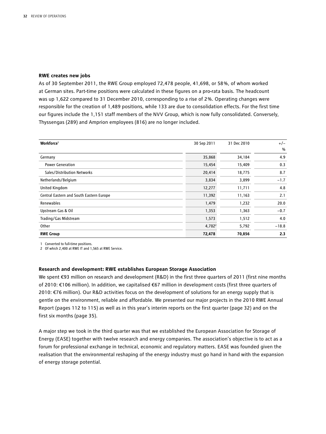#### **RWE creates new jobs**

As of 30 September 2011, the RWE Group employed 72,478 people, 41,698, or 58 %, of whom worked at German sites. Part-time positions were calculated in these figures on a pro-rata basis. The headcount was up 1,622 compared to 31 December 2010, corresponding to a rise of 2 %. Operating changes were responsible for the creation of 1,489 positions, while 133 are due to consolidation effects. For the first time our figures include the 1,151 staff members of the NVV Group, which is now fully consolidated. Conversely, Thyssengas (289) and Amprion employees (816) are no longer included.

| Workforce <sup>1</sup>                   | 30 Sep 2011        | 31 Dec 2010 | $+/-$         |
|------------------------------------------|--------------------|-------------|---------------|
|                                          |                    |             | $\frac{0}{0}$ |
| Germany                                  | 35,868             | 34,184      | 4.9           |
| <b>Power Generation</b>                  | 15,454             | 15,409      | 0.3           |
| Sales/Distribution Networks              | 20,414             | 18,775      | 8.7           |
| Netherlands/Belgium                      | 3,834              | 3,899       | $-1.7$        |
| United Kingdom                           | 12,277             | 11,711      | 4.8           |
| Central Eastern and South Eastern Europe | 11,392             | 11,163      | 2.1           |
| Renewables                               | 1,479              | 1,232       | 20.0          |
| Upstream Gas & Oil                       | 1,353              | 1,363       | $-0.7$        |
| Trading/Gas Midstream                    | 1,573              | 1,512       | 4.0           |
| Other                                    | 4,702 <sup>2</sup> | 5,792       | $-18.8$       |
| <b>RWE Group</b>                         | 72,478             | 70,856      | 2.3           |

1 Converted to full-time positions.

2 Of which 2,400 at RWE IT and 1,565 at RWE Service.

#### **Research and development: RWE establishes European Storage Association**

We spent €93 million on research and development (R&D) in the first three quarters of 2011 (first nine months of 2010: €106 million). In addition, we capitalised €67 million in development costs (first three quarters of 2010: €76 million). Our R&D activities focus on the development of solutions for an energy supply that is gentle on the environment, reliable and affordable. We presented our major projects in the 2010 RWE Annual Report (pages 112 to 115) as well as in this year's interim reports on the first quarter (page 32) and on the first six months (page 35).

A major step we took in the third quarter was that we established the European Association for Storage of Energy (EASE) together with twelve research and energy companies. The association's objective is to act as a forum for professional exchange in technical, economic and regulatory matters. EASE was founded given the realisation that the environmental reshaping of the energy industry must go hand in hand with the expansion of energy storage potential.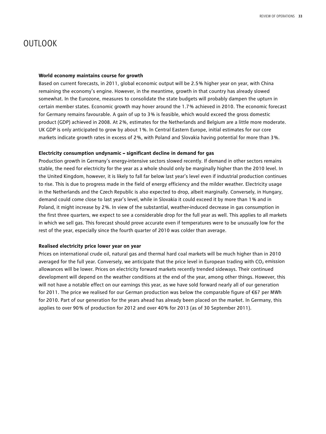# OUTLOOK

#### **World economy maintains course for growth**

Based on current forecasts, in 2011, global economic output will be 2.5 % higher year on year, with China remaining the economy's engine. However, in the meantime, growth in that country has already slowed somewhat. In the Eurozone, measures to consolidate the state budgets will probably dampen the upturn in certain member states. Economic growth may hover around the 1.7 % achieved in 2010. The economic forecast for Germany remains favourable. A gain of up to 3 % is feasible, which would exceed the gross domestic product (GDP) achieved in 2008. At 2 %, estimates for the Netherlands and Belgium are a little more moderate. UK GDP is only anticipated to grow by about 1 %. In Central Eastern Europe, initial estimates for our core markets indicate growth rates in excess of 2 %, with Poland and Slovakia having potential for more than 3 %.

#### **Electricity consumption undynamic – significant decline in demand for gas**

Production growth in Germany's energy-intensive sectors slowed recently. If demand in other sectors remains stable, the need for electricity for the year as a whole should only be marginally higher than the 2010 level. In the United Kingdom, however, it is likely to fall far below last year's level even if industrial production continues to rise. This is due to progress made in the field of energy efficiency and the milder weather. Electricity usage in the Netherlands and the Czech Republic is also expected to drop, albeit marginally. Conversely, in Hungary, demand could come close to last year's level, while in Slovakia it could exceed it by more than 1 % and in Poland, it might increase by 2 %. In view of the substantial, weather-induced decrease in gas consumption in the first three quarters, we expect to see a considerable drop for the full year as well. This applies to all markets in which we sell gas. This forecast should prove accurate even if temperatures were to be unusually low for the rest of the year, especially since the fourth quarter of 2010 was colder than average.

#### **Realised electricity price lower year on year**

Prices on international crude oil, natural gas and thermal hard coal markets will be much higher than in 2010 averaged for the full year. Conversely, we anticipate that the price level in European trading with  $CO<sub>2</sub>$  emission allowances will be lower. Prices on electricity forward markets recently trended sideways. Their continued development will depend on the weather conditions at the end of the year, among other things. However, this will not have a notable effect on our earnings this year, as we have sold forward nearly all of our generation for 2011. The price we realised for our German production was below the comparable figure of €67 per MWh for 2010. Part of our generation for the years ahead has already been placed on the market. In Germany, this applies to over 90% of production for 2012 and over 40% for 2013 (as of 30 September 2011).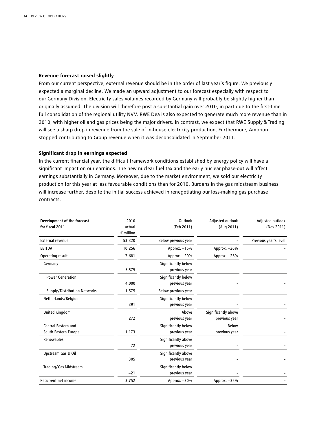#### **Revenue forecast raised slightly**

From our current perspective, external revenue should be in the order of last year's figure. We previously expected a marginal decline. We made an upward adjustment to our forecast especially with respect to our Germany Division. Electricity sales volumes recorded by Germany will probably be slightly higher than originally assumed. The division will therefore post a substantial gain over 2010, in part due to the first-time full consolidation of the regional utility NVV. RWE Dea is also expected to generate much more revenue than in 2010, with higher oil and gas prices being the major drivers. In contrast, we expect that RWE Supply&Trading will see a sharp drop in revenue from the sale of in-house electricity production. Furthermore, Amprion stopped contributing to Group revenue when it was deconsolidated in September 2011.

#### **Significant drop in earnings expected**

In the current financial year, the difficult framework conditions established by energy policy will have a significant impact on our earnings. The new nuclear fuel tax and the early nuclear phase-out will affect earnings substantially in Germany. Moreover, due to the market environment, we sold our electricity production for this year at less favourable conditions than for 2010. Burdens in the gas midstream business will increase further, despite the initial success achieved in renegotiating our loss-making gas purchase contracts.

| Development of the forecast                 | 2010                         | Outlook                              | Adjusted outlook                     | Adjusted outlook      |
|---------------------------------------------|------------------------------|--------------------------------------|--------------------------------------|-----------------------|
| for fiscal 2011                             | actual<br>$\epsilon$ million | (Feb 2011)                           | (Aug 2011)                           | (Nov 2011)            |
| External revenue                            | 53,320                       | Below previous year                  |                                      | Previous year's level |
| <b>EBITDA</b>                               | 10,256                       | Approx. -15%                         | Approx. -20%                         |                       |
| Operating result                            | 7,681                        | Approx. -20%                         | Approx. -25%                         |                       |
| Germany                                     | 5,575                        | Significantly below<br>previous year |                                      |                       |
| <b>Power Generation</b>                     | 4,000                        | Significantly below<br>previous year |                                      |                       |
| Supply/Distribution Networks                | 1,575                        | Below previous year                  |                                      |                       |
| Netherlands/Belgium                         | 391                          | Significantly below<br>previous year |                                      |                       |
| <b>United Kingdom</b>                       | 272                          | Above<br>previous year               | Significantly above<br>previous year |                       |
| Central Eastern and<br>South Eastern Europe | 1,173                        | Significantly below<br>previous year | Below<br>previous year               |                       |
| Renewables                                  | 72                           | Significantly above<br>previous year |                                      |                       |
| Upstream Gas & Oil                          | 305                          | Significantly above<br>previous year |                                      |                       |
| Trading/Gas Midstream                       | $-21$                        | Significantly below<br>previous year |                                      |                       |
| <b>Recurrent net income</b>                 | 3,752                        | Approx. -30%                         | Approx. -35%                         |                       |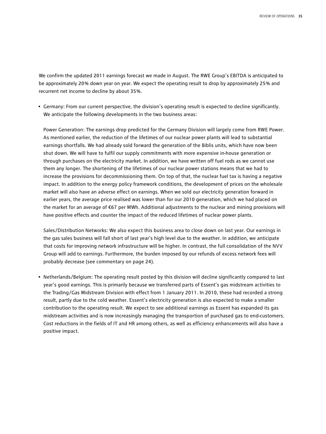We confirm the updated 2011 earnings forecast we made in August. The RWE Group's EBITDA is anticipated to be approximately 20 % down year on year. We expect the operating result to drop by approximately 25 % and recurrent net income to decline by about 35 %.

• Germany: From our current perspective, the division's operating result is expected to decline significantly. We anticipate the following developments in the two business areas:

Power Generation: The earnings drop predicted for the Germany Division will largely come from RWE Power. As mentioned earlier, the reduction of the lifetimes of our nuclear power plants will lead to substantial earnings shortfalls. We had already sold forward the generation of the Biblis units, which have now been shut down. We will have to fulfil our supply commitments with more expensive in-house generation or through purchases on the electricity market. In addition, we have written off fuel rods as we cannot use them any longer. The shortening of the lifetimes of our nuclear power stations means that we had to increase the provisions for decommissioning them. On top of that, the nuclear fuel tax is having a negative impact. In addition to the energy policy framework conditions, the development of prices on the wholesale market will also have an adverse effect on earnings. When we sold our electricity generation forward in earlier years, the average price realised was lower than for our 2010 generation, which we had placed on the market for an average of €67 per MWh. Additional adjustments to the nuclear and mining provisions will have positive effects and counter the impact of the reduced lifetimes of nuclear power plants.

Sales/Distribution Networks: We also expect this business area to close down on last year. Our earnings in the gas sales business will fall short of last year's high level due to the weather. In addition, we anticipate that costs for improving network infrastructure will be higher. In contrast, the full consolidation of the NVV Group will add to earnings. Furthermore, the burden imposed by our refunds of excess network fees will probably decrease (see commentary on page 24).

• Netherlands/Belgium: The operating result posted by this division will decline significantly compared to last year's good earnings. This is primarily because we transferred parts of Essent's gas midstream activities to the Trading/Gas Midstream Division with effect from 1 January 2011. In 2010, these had recorded a strong result, partly due to the cold weather. Essent's electricity generation is also expected to make a smaller contribution to the operating result. We expect to see additional earnings as Essent has expanded its gas midstream activities and is now increasingly managing the transportion of purchased gas to end-customers. Cost reductions in the fields of IT and HR among others, as well as efficiency enhancements will also have a positive impact.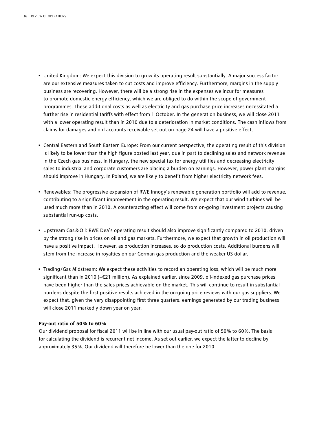- United Kingdom: We expect this division to grow its operating result substantially. A major success factor are our extensive measures taken to cut costs and improve efficiency. Furthermore, margins in the supply business are recovering. However, there will be a strong rise in the expenses we incur for measures to promote domestic energy efficiency, which we are obliged to do within the scope of government programmes. These additional costs as well as electricity and gas purchase price increases necessitated a further rise in residential tariffs with effect from 1 October. In the generation business, we will close 2011 with a lower operating result than in 2010 due to a deterioration in market conditions. The cash inflows from claims for damages and old accounts receivable set out on page 24 will have a positive effect.
- Central Eastern and South Eastern Europe: From our current perspective, the operating result of this division is likely to be lower than the high figure posted last year, due in part to declining sales and network revenue in the Czech gas business. In Hungary, the new special tax for energy utilities and decreasing electricity sales to industrial and corporate customers are placing a burden on earnings. However, power plant margins should improve in Hungary. In Poland, we are likely to benefit from higher electricity network fees.
- Renewables: The progressive expansion of RWE Innogy's renewable generation portfolio will add to revenue, contributing to a significant improvement in the operating result. We expect that our wind turbines will be used much more than in 2010. A counteracting effect will come from on-going investment projects causing substantial run-up costs.
- Upstream Gas&Oil: RWE Dea's operating result should also improve significantly compared to 2010, driven by the strong rise in prices on oil and gas markets. Furthermore, we expect that growth in oil production will have a positive impact. However, as production increases, so do production costs. Additional burdens will stem from the increase in royalties on our German gas production and the weaker US dollar.
- Trading/Gas Midstream: We expect these activities to record an operating loss, which will be much more significant than in 2010 (−€21 million). As explained earlier, since 2009, oil-indexed gas purchase prices have been higher than the sales prices achievable on the market. This will continue to result in substantial burdens despite the first positive results achieved in the on-going price reviews with our gas suppliers. We expect that, given the very disappointing first three quarters, earnings generated by our trading business will close 2011 markedly down year on year.

#### **Pay-out ratio of 50 % to 60 %**

Our dividend proposal for fiscal 2011 will be in line with our usual pay-out ratio of 50 % to 60 %. The basis for calculating the dividend is recurrent net income. As set out earlier, we expect the latter to decline by approximately 35 %. Our dividend will therefore be lower than the one for 2010.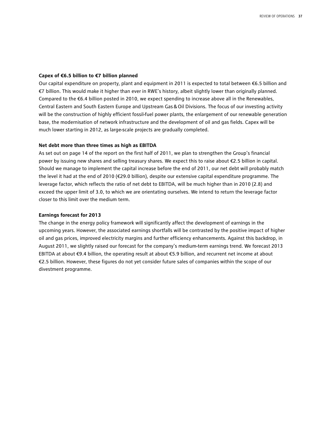#### **Capex of €6.5 billion to €7 billion planned**

Our capital expenditure on property, plant and equipment in 2011 is expected to total between €6.5 billion and €7 billion. This would make it higher than ever in RWE's history, albeit slightly lower than originally planned. Compared to the €6.4 billion posted in 2010, we expect spending to increase above all in the Renewables, Central Eastern and South Eastern Europe and Upstream Gas&Oil Divisions. The focus of our investing activity will be the construction of highly efficient fossil-fuel power plants, the enlargement of our renewable generation base, the modernisation of network infrastructure and the development of oil and gas fields. Capex will be much lower starting in 2012, as large-scale projects are gradually completed.

#### **Net debt more than three times as high as EBITDA**

As set out on page 14 of the report on the first half of 2011, we plan to strengthen the Group's financial power by issuing new shares and selling treasury shares. We expect this to raise about €2.5 billion in capital. Should we manage to implement the capital increase before the end of 2011, our net debt will probably match the level it had at the end of 2010 (€29.0 billion), despite our extensive capital expenditure programme. The leverage factor, which reflects the ratio of net debt to EBITDA, will be much higher than in 2010 (2.8) and exceed the upper limit of 3.0, to which we are orientating ourselves. We intend to return the leverage factor closer to this limit over the medium term.

#### **Earnings forecast for 2013**

The change in the energy policy framework will significantly affect the development of earnings in the upcoming years. However, the associated earnings shortfalls will be contrasted by the positive impact of higher oil and gas prices, improved electricity margins and further efficiency enhancements. Against this backdrop, in August 2011, we slightly raised our forecast for the company's medium-term earnings trend. We forecast 2013 EBITDA at about €9.4 billion, the operating result at about €5.9 billion, and recurrent net income at about €2.5 billion. However, these figures do not yet consider future sales of companies within the scope of our divestment programme.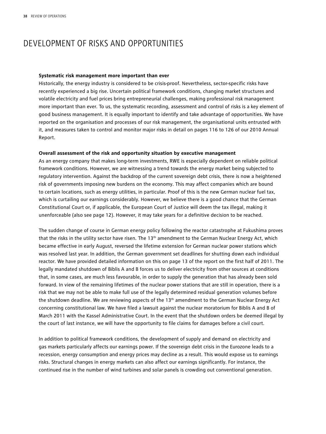# DEVELOPMENT OF RISKS AND OPPORTUNITIES

#### **Systematic risk management more important than ever**

Historically, the energy industry is considered to be crisis-proof. Nevertheless, sector-specific risks have recently experienced a big rise. Uncertain political framework conditions, changing market structures and volatile electricity and fuel prices bring entrepreneurial challenges, making professional risk management more important than ever. To us, the systematic recording, assessment and control of risks is a key element of good business management. It is equally important to identify and take advantage of opportunities. We have reported on the organisation and processes of our risk management, the organisational units entrusted with it, and measures taken to control and monitor major risks in detail on pages 116 to 126 of our 2010 Annual Report.

#### **Overall assessment of the risk and opportunity situation by executive management**

As an energy company that makes long-term investments, RWE is especially dependent on reliable political framework conditions. However, we are witnessing a trend towards the energy market being subjected to regulatory intervention. Against the backdrop of the current sovereign debt crisis, there is now a heightened risk of governments imposing new burdens on the economy. This may affect companies which are bound to certain locations, such as energy utilities, in particular. Proof of this is the new German nuclear fuel tax, which is curtailing our earnings considerably. However, we believe there is a good chance that the German Constitutional Court or, if applicable, the European Court of Justice will deem the tax illegal, making it unenforceable (also see page 12). However, it may take years for a definitive decision to be reached.

The sudden change of course in German energy policy following the reactor catastrophe at Fukushima proves that the risks in the utility sector have risen. The 13<sup>th</sup> amendment to the German Nuclear Energy Act, which became effective in early August, reversed the lifetime extension for German nuclear power stations which was resolved last year. In addition, the German government set deadlines for shutting down each individual reactor. We have provided detailed information on this on page 13 of the report on the first half of 2011. The legally mandated shutdown of Biblis A and B forces us to deliver electricity from other sources at conditions that, in some cases, are much less favourable, in order to supply the generation that has already been sold forward. In view of the remaining lifetimes of the nuclear power stations that are still in operation, there is a risk that we may not be able to make full use of the legally determined residual generation volumes before the shutdown deadline. We are reviewing aspects of the  $13<sup>th</sup>$  amendment to the German Nuclear Energy Act concerning constitutional law. We have filed a lawsuit against the nuclear moratorium for Biblis A and B of March 2011 with the Kassel Administrative Court. In the event that the shutdown orders be deemed illegal by the court of last instance, we will have the opportunity to file claims for damages before a civil court.

In addition to political framework conditions, the development of supply and demand on electricity and gas markets particularly affects our earnings power. If the sovereign debt crisis in the Eurozone leads to a recession, energy consumption and energy prices may decline as a result. This would expose us to earnings risks. Structural changes in energy markets can also affect our earnings significantly. For instance, the continued rise in the number of wind turbines and solar panels is crowding out conventional generation.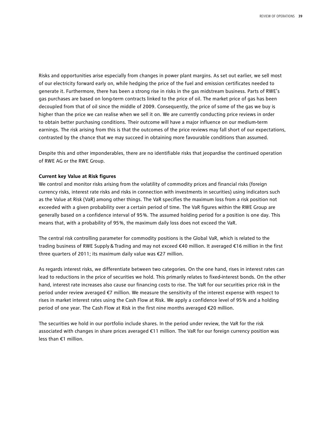Risks and opportunities arise especially from changes in power plant margins. As set out earlier, we sell most of our electricity forward early on, while hedging the price of the fuel and emission certificates needed to generate it. Furthermore, there has been a strong rise in risks in the gas midstream business. Parts of RWE's gas purchases are based on long-term contracts linked to the price of oil. The market price of gas has been decoupled from that of oil since the middle of 2009. Consequently, the price of some of the gas we buy is higher than the price we can realise when we sell it on. We are currently conducting price reviews in order to obtain better purchasing conditions. Their outcome will have a major influence on our medium-term earnings. The risk arising from this is that the outcomes of the price reviews may fall short of our expectations, contrasted by the chance that we may succeed in obtaining more favourable conditions than assumed.

Despite this and other imponderables, there are no identifiable risks that jeopardise the continued operation of RWE AG or the RWE Group.

#### **Current key Value at Risk figures**

We control and monitor risks arising from the volatility of commodity prices and financial risks (foreign currency risks, interest rate risks and risks in connection with investments in securities) using indicators such as the Value at Risk (VaR) among other things. The VaR specifies the maximum loss from a risk position not exceeded with a given probability over a certain period of time. The VaR figures within the RWE Group are generally based on a confidence interval of 95 %. The assumed holding period for a position is one day. This means that, with a probability of 95 %, the maximum daily loss does not exceed the VaR.

The central risk controlling parameter for commodity positions is the Global VaR, which is related to the trading business of RWE Supply&Trading and may not exceed €40 million. It averaged €16 million in the first three quarters of 2011; its maximum daily value was €27 million.

As regards interest risks, we differentiate between two categories. On the one hand, rises in interest rates can lead to reductions in the price of securities we hold. This primarily relates to fixed-interest bonds. On the other hand, interest rate increases also cause our financing costs to rise. The VaR for our securities price risk in the period under review averaged €7 million. We measure the sensitivity of the interest expense with respect to rises in market interest rates using the Cash Flow at Risk. We apply a confidence level of 95 % and a holding period of one year. The Cash Flow at Risk in the first nine months averaged €20 million.

The securities we hold in our portfolio include shares. In the period under review, the VaR for the risk associated with changes in share prices averaged €11 million. The VaR for our foreign currency position was less than €1 million.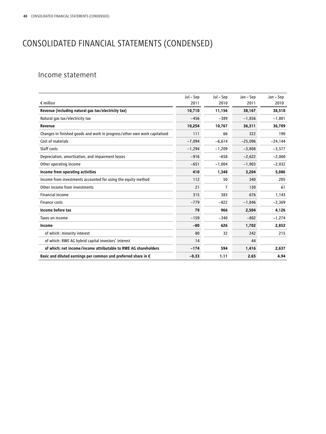# CONSOLIDATED FINANCIAL STATEMENTS (CONDENSED)

## Income statement

|                                                                           | Jul - Sep | Jul - Sep | Jan - Sep | Jan - Sep |
|---------------------------------------------------------------------------|-----------|-----------|-----------|-----------|
| $\epsilon$ million                                                        | 2011      | 2010      | 2011      | 2010      |
| Revenue (including natural gas tax/electricity tax)                       | 10,710    | 11,156    | 38,167    | 38,510    |
| Natural gas tax/electricity tax                                           | $-456$    | $-389$    | $-1,856$  | $-1,801$  |
| Revenue                                                                   | 10,254    | 10,767    | 36,311    | 36,709    |
| Changes in finished goods and work in progress/other own work capitalised | 111       | 66        | 322       | 190       |
| Cost of materials                                                         | $-7,094$  | $-6,614$  | $-25,096$ | $-24,144$ |
| Staff costs                                                               | $-1,294$  | $-1,209$  | $-3,808$  | $-3,577$  |
| Depreciation, amortisation, and impairment losses                         | $-916$    | $-658$    | $-2,622$  | $-2,060$  |
| Other operating income                                                    | $-651$    | $-1,004$  | $-1,903$  | $-2,032$  |
| Income from operating activities                                          | 410       | 1,348     | 3,204     | 5,086     |
| Income from investments accounted for using the equity method             | 112       | 50        | 340       | 205       |
| Other income from investments                                             | 21        | 7         | 130       | 61        |
| <b>Financial income</b>                                                   | 315       | 383       | 676       | 1,143     |
| <b>Finance costs</b>                                                      | $-779$    | $-822$    | $-1,846$  | $-2,369$  |
| Income before tax                                                         | 79        | 966       | 2,504     | 4,126     |
| Taxes on income                                                           | $-159$    | $-340$    | $-802$    | $-1,274$  |
| Income                                                                    | $-80$     | 626       | 1,702     | 2,852     |
| of which: minority interest                                               | 80        | 32        | 242       | 215       |
| of which: RWE AG hybrid capital investors' interest                       | 14        |           | 44        |           |
| of which: net income/income attributable to RWE AG shareholders           | $-174$    | 594       | 1,416     | 2,637     |
| Basic and diluted earnings per common and preferred share in $\epsilon$   | $-0.33$   | 1.11      | 2.65      | 4.94      |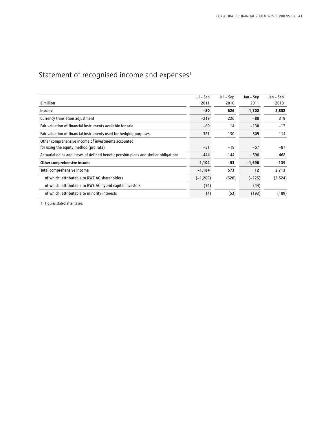# Statement of recognised income and  $expenses<sup>1</sup>$

|                                                                                     | Jul – Sep   | Jul – Sep | Jan – Sep | Jan – Sep |
|-------------------------------------------------------------------------------------|-------------|-----------|-----------|-----------|
| $\epsilon$ million                                                                  | 2011        | 2010      | 2011      | 2010      |
| Income                                                                              | $-80$       | 626       | 1,702     | 2,852     |
| Currency translation adjustment                                                     | $-219$      | 226       | $-88$     | 319       |
| Fair valuation of financial instruments available for sale                          | $-69$       | 14        | $-138$    | $-17$     |
| Fair valuation of financial instruments used for hedging purposes                   | $-321$      | $-130$    | $-809$    | 114       |
| Other comprehensive income of investments accounted                                 |             |           |           |           |
| for using the equity method (pro rata)                                              | $-51$       | $-19$     | $-57$     | $-87$     |
| Actuarial gains and losses of defined benefit pension plans and similar obligations | $-444$      | $-144$    | $-598$    | $-468$    |
| Other comprehensive income                                                          | $-1,104$    | $-53$     | $-1,690$  | $-139$    |
| Total comprehensive income                                                          | $-1,184$    | 573       | 12        | 2,713     |
| of which: attributable to RWE AG shareholders                                       | $(-1, 202)$ | (520)     | $(-225)$  | (2,524)   |
| of which: attributable to RWE AG hybrid capital investors                           | (14)        |           | (44)      |           |
| of which: attributable to minority interests                                        | (4)         | (53)      | (193)     | (189)     |

1 Figures stated after taxes.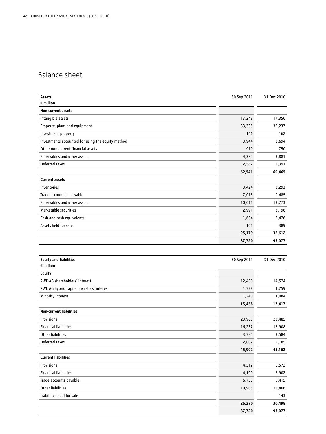## Balance sheet

| Assets                                              | 30 Sep 2011 | 31 Dec 2010   |
|-----------------------------------------------------|-------------|---------------|
| $\epsilon$ million                                  |             |               |
| Non-current assets                                  |             |               |
| Intangible assets                                   | 17,248      | 17,350        |
| Property, plant and equipment                       | 33,335      | 32,237        |
| Investment property                                 | 146         | 162           |
| Investments accounted for using the equity method   | 3,944       | 3,694         |
| Other non-current financial assets                  | 919         | 750           |
| Receivables and other assets                        | 4,382       | 3,881         |
| Deferred taxes                                      | 2,567       | 2,391         |
|                                                     | 62,541      | 60,465        |
| <b>Current assets</b>                               |             |               |
| Inventories                                         | 3,424       | 3,293         |
| Trade accounts receivable                           | 7,018       | 9,485         |
| Receivables and other assets                        | 10,011      | 13,773        |
| Marketable securities                               | 2,991       | 3,196         |
| Cash and cash equivalents                           | 1,634       | 2,476         |
| Assets held for sale                                | 101         | 389           |
|                                                     | 25,179      | 32,612        |
|                                                     | 87,720      | 93,077        |
|                                                     |             |               |
|                                                     |             |               |
| <b>Equity and liabilities</b><br>$\epsilon$ million | 30 Sep 2011 | 31 Dec 2010   |
| <b>Equity</b>                                       |             |               |
| RWE AG shareholders' interest                       | 12,480      | 14,574        |
| RWE AG hybrid capital investors' interest           | 1,738       | 1,759         |
| Minority interest                                   | 1,240       | 1,084         |
|                                                     | 15,458      | 17,417        |
| <b>Non-current liabilities</b>                      |             |               |
| Provisions                                          | 23,963      | 23,485        |
| <b>Financial liabilities</b>                        | 16,237      | 15,908        |
| Other liabilities                                   | 3,785       | 3,584         |
| Deferred taxes                                      | 2,007       | 2,185         |
|                                                     | 45,992      | 45,162        |
| <b>Current liabilities</b>                          |             |               |
| Provisions                                          | 4,512       | 5,572         |
| <b>Financial liabilities</b>                        | 4,100       | 3,902         |
| Trade accounts payable                              | 6,753       | 8,415         |
| Other liabilities                                   | 10,905      | 12,466        |
| Liabilities held for sale                           |             |               |
|                                                     |             |               |
|                                                     | 26,270      | 143<br>30,498 |

**87,720 93,077**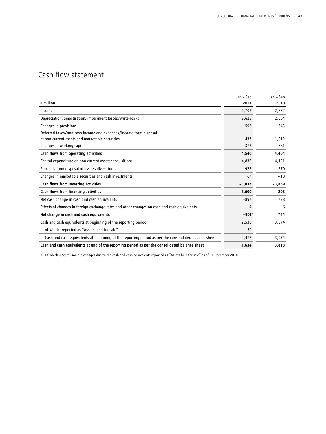# Cash flow statement

|                                                                                                      | Jan - Sep           | Jan – Sep |
|------------------------------------------------------------------------------------------------------|---------------------|-----------|
| $\epsilon$ million                                                                                   | 2011                | 2010      |
| Income                                                                                               | 1,702               | 2,852     |
| Depreciation, amortisation, impairment losses/write-backs                                            | 2,625               | 2,064     |
| Changes in provisions                                                                                | $-596$              | $-643$    |
| Deferred taxes/non-cash income and expenses/income from disposal                                     |                     |           |
| of non-current assets and marketable securities                                                      | 437                 | 1,012     |
| Changes in working capital                                                                           | 372                 | $-881$    |
| Cash flows from operating activities                                                                 | 4,540               | 4,404     |
| Capital expenditure on non-current assets/acquisitions                                               | $-4,832$            | $-4,121$  |
| Proceeds from disposal of assets/divestitures                                                        | 928                 | 270       |
| Changes in marketable securities and cash investments                                                | 67                  | $-18$     |
| Cash flows from investing activities                                                                 | $-3,837$            | $-3,869$  |
| Cash flows from financing activities                                                                 | $-1,600$            | 203       |
| Net cash change in cash and cash equivalents                                                         | $-897$              | 738       |
| Effects of changes in foreign exchange rates and other changes on cash and cash equivalents          | $-4$                | 6         |
| Net change in cash and cash equivalents                                                              | $-901$ <sup>1</sup> | 744       |
| Cash and cash equivalents at beginning of the reporting period                                       | 2,535               | 3,074     |
| of which: reported as "Assets held for sale"                                                         | $-59$               |           |
| Cash and cash equivalents at beginning of the reporting period as per the consolidated balance sheet | 2,476               | 3,074     |
| Cash and cash equivalents at end of the reporting period as per the consolidated balance sheet       | 1,634               | 3,818     |

1 Of which -€59 million are changes due to the cash and cash equivalents reported as "Assets held for sale" as of 31 December 2010.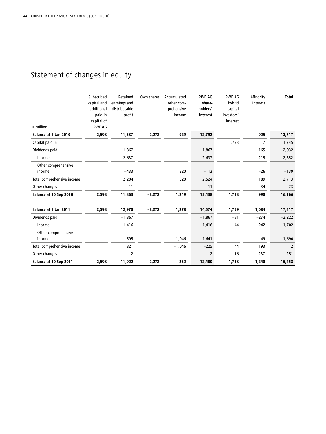# Statement of changes in equity

| $\epsilon$ million            | Subscribed<br>capital and<br>additional<br>paid-in<br>capital of<br>RWE AG | Retained<br>earnings and<br>distributable<br>profit | Own shares | Accumulated<br>other com-<br>prehensive<br>income | <b>RWE AG</b><br>share-<br>holders'<br>interest | <b>RWE AG</b><br>hybrid<br>capital<br>investors'<br>interest | Minority<br>interest | <b>Total</b> |
|-------------------------------|----------------------------------------------------------------------------|-----------------------------------------------------|------------|---------------------------------------------------|-------------------------------------------------|--------------------------------------------------------------|----------------------|--------------|
| Balance at 1 Jan 2010         | 2,598                                                                      | 11,537                                              | $-2,272$   | 929                                               | 12,792                                          |                                                              | 925                  | 13,717       |
| Capital paid in               |                                                                            |                                                     |            |                                                   |                                                 | 1,738                                                        | $\overline{7}$       | 1,745        |
| Dividends paid                |                                                                            | $-1,867$                                            |            |                                                   | $-1,867$                                        |                                                              | $-165$               | $-2,032$     |
| Income                        |                                                                            | 2,637                                               |            |                                                   | 2,637                                           |                                                              | 215                  | 2,852        |
| Other comprehensive<br>income |                                                                            | $-433$                                              |            | 320                                               | $-113$                                          |                                                              | $-26$                | $-139$       |
| Total comprehensive income    |                                                                            | 2,204                                               |            | 320                                               | 2,524                                           |                                                              | 189                  | 2,713        |
| Other changes                 |                                                                            | $-11$                                               |            |                                                   | $-11$                                           |                                                              | 34                   | 23           |
| Balance at 30 Sep 2010        | 2,598                                                                      | 11,863                                              | $-2,272$   | 1,249                                             | 13,438                                          | 1,738                                                        | 990                  | 16,166       |
| Balance at 1 Jan 2011         | 2,598                                                                      | 12,970                                              | $-2,272$   | 1,278                                             | 14,574                                          | 1,759                                                        | 1,084                | 17,417       |
| Dividends paid                |                                                                            | $-1,867$                                            |            |                                                   | $-1,867$                                        | $-81$                                                        | $-274$               | $-2,222$     |
| Income                        |                                                                            | 1,416                                               |            |                                                   | 1,416                                           | 44                                                           | 242                  | 1,702        |
| Other comprehensive           |                                                                            |                                                     |            |                                                   |                                                 |                                                              |                      |              |
| income                        |                                                                            | $-595$                                              |            | $-1,046$                                          | $-1,641$                                        |                                                              | $-49$                | $-1,690$     |
| Total comprehensive income    |                                                                            | 821                                                 |            | $-1,046$                                          | $-225$                                          | 44                                                           | 193                  | 12           |
| Other changes                 |                                                                            | $-2$                                                |            |                                                   | $-2$                                            | 16                                                           | 237                  | 251          |
| Balance at 30 Sep 2011        | 2,598                                                                      | 11,922                                              | $-2,272$   | 232                                               | 12,480                                          | 1,738                                                        | 1,240                | 15,458       |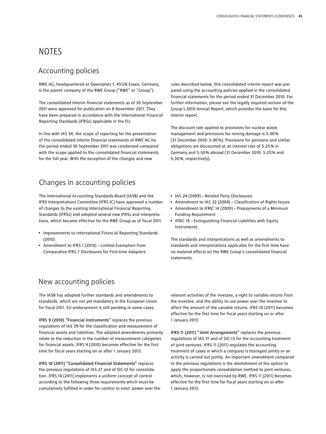# NOTES

### Accounting policies

RWE AG, headquartered at Opernplatz 1, 45128 Essen, Germany, is the parent company of the RWE Group ("RWE" or "Group").

The consolidated interim financial statements as of 30 September 2011 were approved for publication on 8 November 2011. They have been prepared in accordance with the International Financial Reporting Standards (IFRSs) applicable in the EU.

In line with IAS 34, the scope of reporting for the presentation of the consolidated interim financial statements of RWE AG for the period ended 30 September 2011 was condensed compared with the scope applied to the consolidated financial statements for the full year. With the exception of the changes and new

## Changes in accounting policies

The International Accounting Standards Board (IASB) and the IFRS Interpretations Committee (IFRS IC) have approved a number of changes to the existing International Financial Reporting Standards (IFRSs) and adopted several new IFRSs and interpretations, which became effective for the RWE Group as of fiscal 2011.

- Improvements to International Financial Reporting Standards (2010)
- Amendment to IFRS 1 (2010) Limited Exemption from Comparative IFRS 7 Disclosures for First-time Adopters

### New accounting policies

The IASB has adopted further standards and amendments to standards, which are not yet mandatory in the European Union for fiscal 2011. EU endorsement is still pending in some cases.

IFRS 9 (2010) "Financial Instruments" replaces the previous regulations of IAS 39 for the classification and measurement of financial assets and liabilities. The adopted amendments primarily relate to the reduction in the number of measurement categories for financial assets. IFRS 9 (2010) becomes effective for the first time for fiscal years starting on or after 1 January 2013.

IFRS 10 (2011) "Consolidated Financial Statements" replaces the previous regulations of IAS 27 and of SIC-12 for consolidation. IFRS 10 (2011) implements a uniform concept of control according to the following three requirements which must be cumulatively fulfilled in order for control to exist: power over the rules described below, this consolidated interim report was prepared using the accounting policies applied in the consolidated financial statements for the period ended 31 December 2010. For further information, please see the legally required version of the Group's 2010 Annual Report, which provides the basis for this interim report.

The discount rate applied to provisions for nuclear waste management and provisions for mining damage is 5.00 % (31 December 2010: 5.00 %). Provisions for pensions and similar obligations are discounted at an interest rate of 5.25 % in Germany and 5.50 % abroad (31 December 2010: 5.25 % and 5.30 %, respectively).

- IAS 24 (2009) Related Party Disclosures
- Amendment to IAS 32 (2009) Classification of Rights Issues
- Amendment to IFRIC 14 (2009) Prepayments of a Minimum Funding Requirement
- IFRIC 19 Extinguishing Financial Liabilities with Equity Instruments

The standards and interpretations as well as amendments to standards and interpretations applicable for the first time have no material effects on the RWE Group's consolidated financial statements.

relevant activities of the investee, a right to variable returns from the investee, and the ability to use power over the investee to affect the amount of the variable returns. IFRS 10 (2011) becomes effective for the first time for fiscal years starting on or after 1 January 2013.

IFRS 11 (2011) "Joint Arrangements" replaces the previous regulations of IAS 31 and of SIC-13 for the accounting treatment of joint ventures. IFRS 11 (2011) regulates the accounting treatment of cases in which a company is managed jointly or an activity is carried out jointly. An important amendment compared to the previous regulations is the abolishment of the option to apply the proportionate consolidation method to joint ventures, which, however, is not exercised by RWE. IFRS 11 (2011) becomes effective for the first time for fiscal years starting on or after 1 January 2013.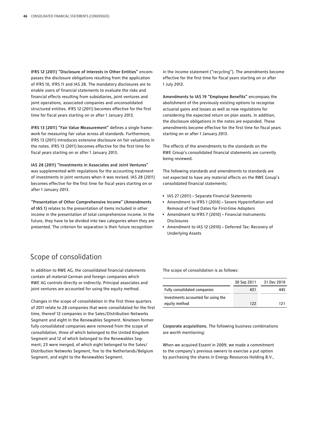IFRS 12 (2011) "Disclosure of Interests in Other Entities" encompasses the disclosure obligations resulting from the application of IFRS 10, IFRS 11 and IAS 28. The mandatory disclosures are to enable users of financial statements to evaluate the risks and financial effects resulting from subsidiaries, joint ventures and joint operations, associated companies and unconsolidated structured entities. IFRS 12 (2011) becomes effective for the first time for fiscal years starting on or after 1 January 2013.

IFRS 13 (2011) "Fair Value Measurement" defines a single framework for measuring fair value across all standards. Furthermore, IFRS 13 (2011) introduces extensive disclosure on fair valuations in the notes. IFRS 13 (2011) becomes effective for the first time for fiscal years starting on or after 1 January 2013.

IAS 28 (2011) "Investments in Associates and Joint Ventures" was supplemented with regulations for the accounting treatment of investments in joint ventures when it was revised. IAS 28 (2011) becomes effective for the first time for fiscal years starting on or after 1 January 2013.

"Presentation of Other Comprehensive Income" (Amendments of IAS 1) relates to the presentation of items included in other income in the presentation of total comprehensive income. In the future, they have to be divided into two categories when they are presented. The criterion for separation is their future recognition

in the income statement ("recycling"). The amendments become effective for the first time for fiscal years starting on or after 1 July 2012.

Amendments to IAS 19 "Employee Benefits" encompass the abolishment of the previously existing options to recognise actuarial gains and losses as well as new regulations for considering the expected return on plan assets. In addition, the disclosure obligations in the notes are expanded. These amendments become effective for the first time for fiscal years starting on or after 1 January 2013.

The effects of the amendments to the standards on the RWE Group's consolidated financial statements are currently being reviewed.

The following standards and amendments to standards are not expected to have any material effects on the RWE Group's consolidated financial statements:

- IAS 27 (2011) Separate Financial Statements
- Amendment to IFRS 1 (2010) Severe Hyperinflation and Removal of Fixed Dates for First-time Adopters
- Amendment to IFRS 7 (2010) Financial Instruments: Disclosures
- Amendment to IAS 12 (2010) Deferred Tax: Recovery of Underlying Assets

## Scope of consolidation

In addition to RWE AG, the consolidated financial statements contain all material German and foreign companies which RWE AG controls directly or indirectly. Principal associates and joint ventures are accounted for using the equity method.

Changes in the scope of consolidation in the first three quarters of 2011 relate to 28 companies that were consolidated for the first time, thereof 12 companies in the Sales/Distribution Networks Segment and eight in the Renewables Segment. Nineteen former fully consolidated companies were removed from the scope of consolidation, three of which belonged to the United Kingdom Segment and 12 of which belonged to the Renewables Segment; 23 were merged, of which eight belonged to the Sales/ Distribution Networks Segment, five to the Netherlands/Belgium Segment, and eight to the Renewables Segment.

The scope of consolidation is as follows:

|                                     | 30 Sep 2011 | 31 Dec 2010 |
|-------------------------------------|-------------|-------------|
| Fully consolidated companies        | 431         | 445         |
| Investments accounted for using the |             |             |
| equity method                       | 122         | 121         |

Corporate acquisitions. The following business combinations are worth mentioning:

When we acquired Essent in 2009, we made a commitment to the company's previous owners to exercise a put option by purchasing the shares in Energy Resources Holding B.V.,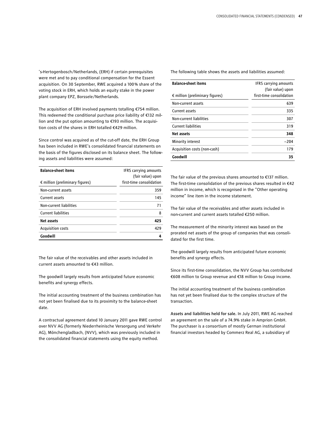's-Hertogenbosch/Netherlands, (ERH) if certain prerequisites were met and to pay conditional compensation for the Essent acquisition. On 30 September, RWE acquired a 100 % share of the voting stock in ERH, which holds an equity stake in the power plant company EPZ, Borssele/Netherlands.

The acquisition of ERH involved payments totalling €754 million. This redeemed the conditional purchase price liability of €132 million and the put option amounting to €193 million. The acquisition costs of the shares in ERH totalled €429 million.

Since control was acquired as of the cut-off date, the ERH Group has been included in RWE's consolidated financial statements on the basis of the figures disclosed on its balance sheet. The following assets and liabilities were assumed:

| <b>Balance-sheet items</b><br>$\epsilon$ million (preliminary figures) | <b>IFRS carrying amounts</b><br>(fair value) upon<br>first-time consolidation |
|------------------------------------------------------------------------|-------------------------------------------------------------------------------|
| Non-current assets                                                     | 359                                                                           |
| Current assets                                                         | 145                                                                           |
| Non-current liabilities                                                | 71                                                                            |
| <b>Current liabilities</b>                                             | 8                                                                             |
| <b>Net assets</b>                                                      | 425                                                                           |
| <b>Acquisition costs</b>                                               | 429                                                                           |
| Goodwill                                                               | Δ                                                                             |

The fair value of the receivables and other assets included in current assets amounted to €43 million.

The goodwill largely results from anticipated future economic benefits and synergy effects.

The initial accounting treatment of the business combination has not yet been finalised due to its proximity to the balance-sheet date.

A contractual agreement dated 10 January 2011 gave RWE control over NVV AG (formerly Niederrheinische Versorgung und Verkehr AG), Mönchengladbach, (NVV), which was previously included in the consolidated financial statements using the equity method.

The following table shows the assets and liabilities assumed:

| <b>Balance-sheet items</b>               | <b>IFRS carrying amounts</b><br>(fair value) upon |
|------------------------------------------|---------------------------------------------------|
| $\epsilon$ million (preliminary figures) | first-time consolidation                          |
| Non-current assets                       | 639                                               |
| Current assets                           | 335                                               |
| Non-current liabilities                  | 307                                               |
| <b>Current liabilities</b>               | 319                                               |
| Net assets                               | 348                                               |
| Minority interest                        | $-204$                                            |
| Acquisition costs (non-cash)             | 179                                               |
| Goodwill                                 | 35                                                |

The fair value of the previous shares amounted to €137 million. The first-time consolidation of the previous shares resulted in €42 million in income, which is recognised in the "Other operating income" line item in the income statement.

The fair value of the receivables and other assets included in non-current and current assets totalled €250 million.

The measurement of the minority interest was based on the prorated net assets of the group of companies that was consolidated for the first time.

The goodwill largely results from anticipated future economic benefits and synergy effects.

Since its first-time consolidation, the NVV Group has contributed €608 million to Group revenue and €18 million to Group income.

The initial accounting treatment of the business combination has not yet been finalised due to the complex structure of the transaction.

Assets and liabilities held for sale. In July 2011, RWE AG reached an agreement on the sale of a 74.9% stake in Amprion GmbH. The purchaser is a consortium of mostly German institutional financial investors headed by Commerz Real AG, a subsidiary of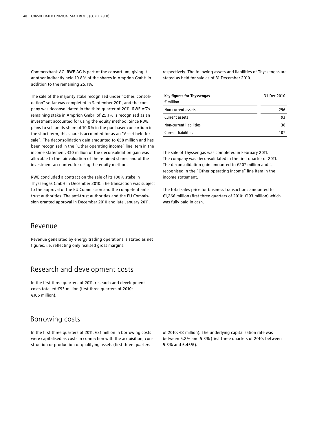Commerzbank AG. RWE AG is part of the consortium, giving it another indirectly held 10.8 % of the shares in Amprion GmbH in addition to the remaining 25.1 %.

The sale of the majority stake recognised under "Other, consolidation" so far was completed in September 2011, and the company was deconsolidated in the third quarter of 2011. RWE AG's remaining stake in Amprion GmbH of 25.1 % is recognised as an investment accounted for using the equity method. Since RWE plans to sell on its share of 10.8 % in the purchaser consortium in the short term, this share is accounted for as an "Asset held for sale". The deconsolidation gain amounted to €58 million and has been recognised in the "Other operating income" line item in the income statement. €10 million of the deconsolidation gain was allocable to the fair valuation of the retained shares and of the investment accounted for using the equity method.

RWE concluded a contract on the sale of its 100 % stake in Thyssengas GmbH in December 2010. The transaction was subject to the approval of the EU Commission and the competent antitrust authorities. The anti-trust authorities and the EU Commission granted approval in December 2010 and late January 2011,

#### Revenue

Revenue generated by energy trading operations is stated as net figures, i.e. reflecting only realised gross margins.

## Research and development costs

In the first three quarters of 2011, research and development costs totalled €93 million (first three quarters of 2010: €106 million).

## Borrowing costs

In the first three quarters of 2011, €31 million in borrowing costs were capitalised as costs in connection with the acquisition, construction or production of qualifying assets (first three quarters

respectively. The following assets and liabilities of Thyssengas are stated as held for sale as of 31 December 2010.

| Key figures for Thyssengas<br>$\epsilon$ million | 31 Dec 2010 |
|--------------------------------------------------|-------------|
| Non-current assets                               | 296         |
| Current assets                                   | 93          |
| Non-current liabilities                          | 36          |
| <b>Current liabilities</b>                       | 107         |

The sale of Thyssengas was completed in February 2011. The company was deconsolidated in the first quarter of 2011. The deconsolidation gain amounted to €207 million and is recognised in the "Other operating income" line item in the income statement.

The total sales price for business transactions amounted to €1,266 million (first three quarters of 2010: €193 million) which was fully paid in cash.

of 2010: €3 million). The underlying capitalisation rate was between 5.2 % and 5.3 % (first three quarters of 2010: between 5.3 % and 5.45 %).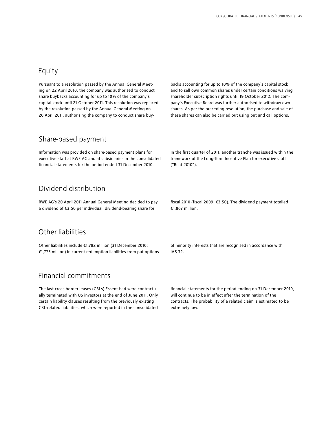## Equity

Pursuant to a resolution passed by the Annual General Meeting on 22 April 2010, the company was authorised to conduct share buybacks accounting for up to 10 % of the company's capital stock until 21 October 2011. This resolution was replaced by the resolution passed by the Annual General Meeting on 20 April 2011, authorising the company to conduct share buy-

Share-based payment

Information was provided on share-based payment plans for executive staff at RWE AG and at subsidiaries in the consolidated financial statements for the period ended 31 December 2010.

## Dividend distribution

RWE AG's 20 April 2011 Annual General Meeting decided to pay a dividend of €3.50 per individual, dividend-bearing share for

## Other liabilities

Other liabilities include €1,782 million (31 December 2010: €1,775 million) in current redemption liabilities from put options

## Financial commitments

The last cross-border leases (CBLs) Essent had were contractually terminated with US investors at the end of June 2011. Only certain liability clauses resulting from the previously existing CBL-related liabilities, which were reported in the consolidated backs accounting for up to 10 % of the company's capital stock and to sell own common shares under certain conditions waiving shareholder subscription rights until 19 October 2012. The company's Executive Board was further authorised to withdraw own shares. As per the preceding resolution, the purchase and sale of these shares can also be carried out using put and call options.

In the first quarter of 2011, another tranche was issued within the framework of the Long-Term Incentive Plan for executive staff ("Beat 2010").

fiscal 2010 (fiscal 2009: €3.50). The dividend payment totalled €1,867 million.

of minority interests that are recognised in accordance with IAS 32.

financial statements for the period ending on 31 December 2010, will continue to be in effect after the termination of the contracts. The probability of a related claim is estimated to be extremely low.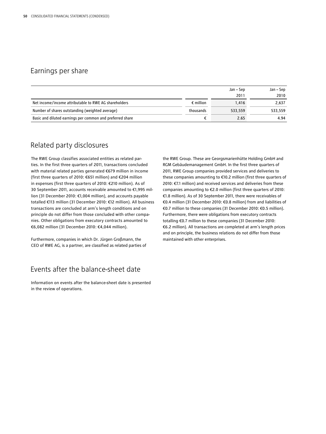## Earnings per share

|                                                           |                    | Jan – Sep<br>2011 | Jan – Sep<br>2010 |
|-----------------------------------------------------------|--------------------|-------------------|-------------------|
| Net income/income attributable to RWE AG shareholders     | $\epsilon$ million | 1.416             | 2,637             |
| Number of shares outstanding (weighted average)           | thousands          | 533.559           | 533.559           |
| Basic and diluted earnings per common and preferred share |                    | 2.65              | 4.94              |

## Related party disclosures

The RWE Group classifies associated entities as related parties. In the first three quarters of 2011, transactions concluded with material related parties generated €679 million in income (first three quarters of 2010: €651 million) and €204 million in expenses (first three quarters of 2010: €210 million). As of 30 September 2011, accounts receivable amounted to €1,995 million (31 December 2010: €1,004 million), and accounts payable totalled €113 million (31 December 2010: €12 million). All business transactions are concluded at arm's length conditions and on principle do not differ from those concluded with other companies. Other obligations from executory contracts amounted to €6,082 million (31 December 2010: €4,044 million).

Furthermore, companies in which Dr. Jürgen Großmann, the CEO of RWE AG, is a partner, are classified as related parties of

## Events after the balance-sheet date

Information on events after the balance-sheet date is presented in the review of operations.

the RWE Group. These are Georgsmarienhütte Holding GmbH and RGM Gebäudemanagement GmbH. In the first three quarters of 2011, RWE Group companies provided services and deliveries to these companies amounting to €10.2 million (first three quarters of 2010: €7.1 million) and received services and deliveries from these companies amounting to €2.0 million (first three quarters of 2010: €1.8 million). As of 30 September 2011, there were receivables of €0.4 million (31 December 2010: €0.8 million) from and liabilities of €0.7 million to these companies (31 December 2010: €0.5 million). Furthermore, there were obligations from executory contracts totalling €0.7 million to these companies (31 December 2010: €6.2 million). All transactions are completed at arm's length prices and on principle, the business relations do not differ from those maintained with other enterprises.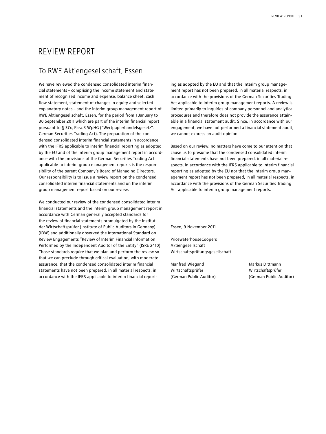## Review Report

## To RWE Aktiengesellschaft, Essen

We have reviewed the condensed consolidated interim financial statements – comprising the income statement and statement of recognised income and expense, balance sheet, cash flow statement, statement of changes in equity and selected explanatory notes – and the interim group management report of RWE Aktiengesellschaft, Essen, for the period from 1 January to 30 September 2011 which are part of the interim financial report pursuant to § 37x, Para.3 WpHG ("Wertpapierhandelsgesetz": German Securities Trading Act). The preparation of the condensed consolidated interim financial statements in accordance with the IFRS applicable to interim financial reporting as adopted by the EU and of the interim group management report in accordance with the provisions of the German Securities Trading Act applicable to interim group management reports is the responsibility of the parent Company's Board of Managing Directors. Our responsibility is to issue a review report on the condensed consolidated interim financial statements and on the interim group management report based on our review.

We conducted our review of the condensed consolidated interim financial statements and the interim group management report in accordance with German generally accepted standards for the review of financial statements promulgated by the Institut der Wirtschaftsprüfer (Institute of Public Auditors in Germany) (IDW) and additionally observed the International Standard on Review Engagements "Review of Interim Financial Information Performed by the Independent Auditor of the Entity" (ISRE 2410). Those standards require that we plan and perform the review so that we can preclude through critical evaluation, with moderate assurance, that the condensed consolidated interim financial statements have not been prepared, in all material respects, in accordance with the IFRS applicable to interim financial reporting as adopted by the EU and that the interim group management report has not been prepared, in all material respects, in accordance with the provisions of the German Securities Trading Act applicable to interim group management reports. A review is limited primarily to inquiries of company personnel and analytical procedures and therefore does not provide the assurance attainable in a financial statement audit. Since, in accordance with our engagement, we have not performed a financial statement audit, we cannot express an audit opinion.

Based on our review, no matters have come to our attention that cause us to presume that the condensed consolidated interim financial statements have not been prepared, in all material respects, in accordance with the IFRS applicable to interim financial reporting as adopted by the EU nor that the interim group management report has not been prepared, in all material respects, in accordance with the provisions of the German Securities Trading Act applicable to interim group management reports.

Essen, 9 November 2011

PricewaterhouseCoopers Aktiengesellschaft Wirtschaftsprüfungsgesellschaft

Manfred Wiegand Markus Dittmann Wirtschaftsprüfer Wirtschaftsprüfer (German Public Auditor) (German Public Auditor)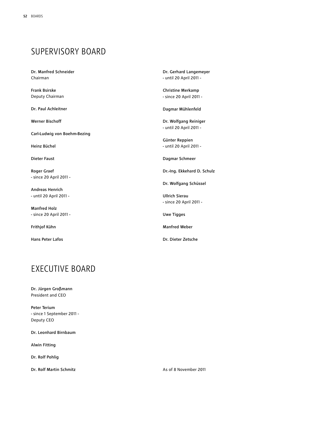# Supervisory Board

Dr. Manfred Schneider Chairman

Frank Bsirske Deputy Chairman

Dr. Paul Achleitner

Werner Bischoff

Carl-Ludwig von Boehm-Bezing

Heinz Büchel

Dieter Faust

Roger Graef - since 20 April 2011 -

Andreas Henrich - until 20 April 2011 -

Manfred Holz - since 20 April 2011 -

Frithjof Kühn

Hans Peter Lafos

# **FXFCUTIVE BOARD**

Dr. Jürgen Großmann President and CEO

Peter Terium - since 1 September 2011 - Deputy CEO

Dr. Leonhard Birnbaum

Alwin Fitting

Dr. Rolf Pohlig

Dr. Rolf Martin Schmitz

Dr. Gerhard Langemeyer - until 20 April 2011 -

Christine Merkamp - since 20 April 2011 -

Dagmar Mühlenfeld

Dr. Wolfgang Reiniger - until 20 April 2011 -

Günter Reppien - until 20 April 2011 -

Dagmar Schmeer

Dr.-Ing. Ekkehard D. Schulz

Dr. Wolfgang Schüssel

Ullrich Sierau - since 20 April 2011 -

Uwe Tigges

Manfred Weber

Dr. Dieter Zetsche

As of 8 November 2011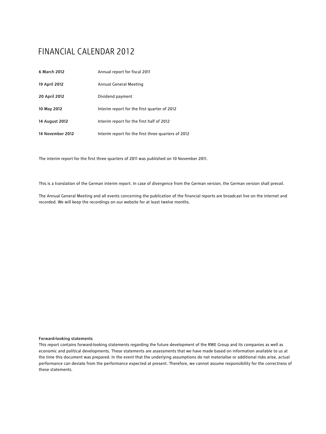# Financial Calendar 2012

| 6 March 2012     | Annual report for fiscal 2011                       |
|------------------|-----------------------------------------------------|
| 19 April 2012    | Annual General Meeting                              |
| 20 April 2012    | Dividend payment                                    |
| 10 May 2012      | Interim report for the first quarter of 2012        |
| 14 August 2012   | Interim report for the first half of 2012           |
| 14 November 2012 | Interim report for the first three quarters of 2012 |

The interim report for the first three quarters of 2011 was published on 10 November 2011.

This is a translation of the German interim report. In case of divergence from the German version, the German version shall prevail.

The Annual General Meeting and all events concerning the publication of the financial reports are broadcast live on the internet and recorded. We will keep the recordings on our website for at least twelve months.

#### Forward-looking statements

This report contains forward-looking statements regarding the future development of the RWE Group and its companies as well as economic and political developments. These statements are assessments that we have made based on information available to us at the time this document was prepared. In the event that the underlying assumptions do not materialise or additional risks arise, actual performance can deviate from the performance expected at present. Therefore, we cannot assume responsibility for the correctness of these statements.